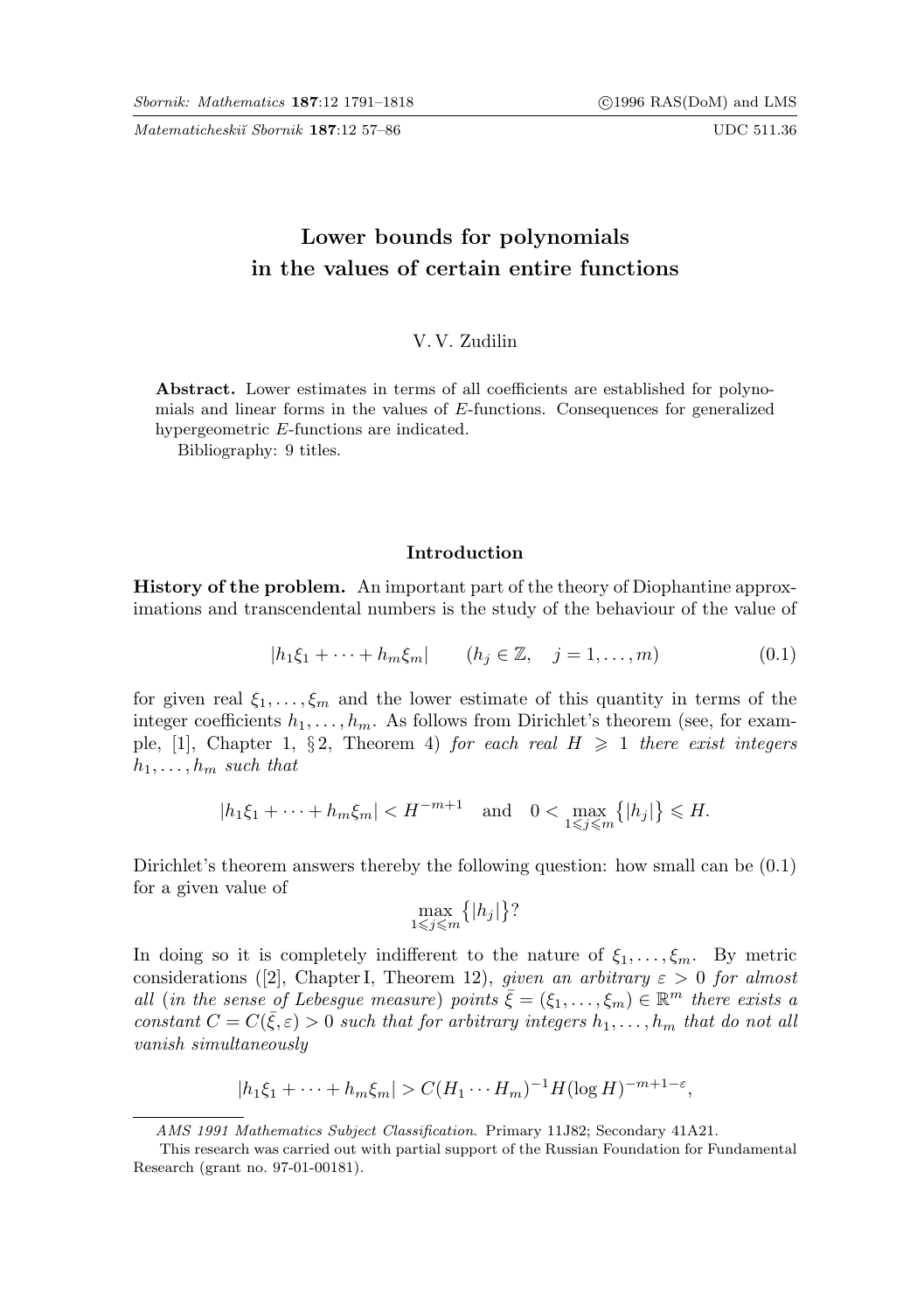Matematicheskiĭ Sbornik 187:12 57–86 UDC 511.36

# Lower bounds for polynomials in the values of certain entire functions

### V. V. Zudilin

Abstract. Lower estimates in terms of all coefficients are established for polynomials and linear forms in the values of E-functions. Consequences for generalized hypergeometric E-functions are indicated.

Bibliography: 9 titles.

#### Introduction

History of the problem. An important part of the theory of Diophantine approximations and transcendental numbers is the study of the behaviour of the value of

$$
|h_1\xi_1 + \dots + h_m\xi_m| \qquad (h_j \in \mathbb{Z}, \quad j = 1, \dots, m)
$$
 (0.1)

for given real  $\xi_1, \ldots, \xi_m$  and the lower estimate of this quantity in terms of the integer coefficients  $h_1, \ldots, h_m$ . As follows from Dirichlet's theorem (see, for example, [1], Chapter 1, § 2, Theorem 4) for each real  $H \geq 1$  there exist integers  $h_1, \ldots, h_m$  such that

$$
|h_1\xi_1 + \cdots + h_m\xi_m| < H^{-m+1}
$$
 and  $0 < \max_{1 \leq j \leq m} \{|h_j|\} \leq H$ .

Dirichlet's theorem answers thereby the following question: how small can be (0.1) for a given value of

$$
\max_{1 \leq j \leq m} \{|h_j|\}?
$$

In doing so it is completely indifferent to the nature of  $\xi_1, \ldots, \xi_m$ . By metric considerations ([2], Chapter I, Theorem 12), given an arbitrary  $\varepsilon > 0$  for almost all (in the sense of Lebesgue measure) points  $\bar{\xi} = (\xi_1, \ldots, \xi_m) \in \mathbb{R}^m$  there exists a constant  $C = C(\bar{\xi}, \varepsilon) > 0$  such that for arbitrary integers  $h_1, \ldots, h_m$  that do not all vanish simultaneously

$$
|h_1\xi_1 + \dots + h_m\xi_m| > C(H_1 \cdots H_m)^{-1} H(\log H)^{-m+1-\varepsilon},
$$

AMS 1991 Mathematics Subject Classification. Primary 11J82; Secondary 41A21.

This research was carried out with partial support of the Russian Foundation for Fundamental Research (grant no. 97-01-00181).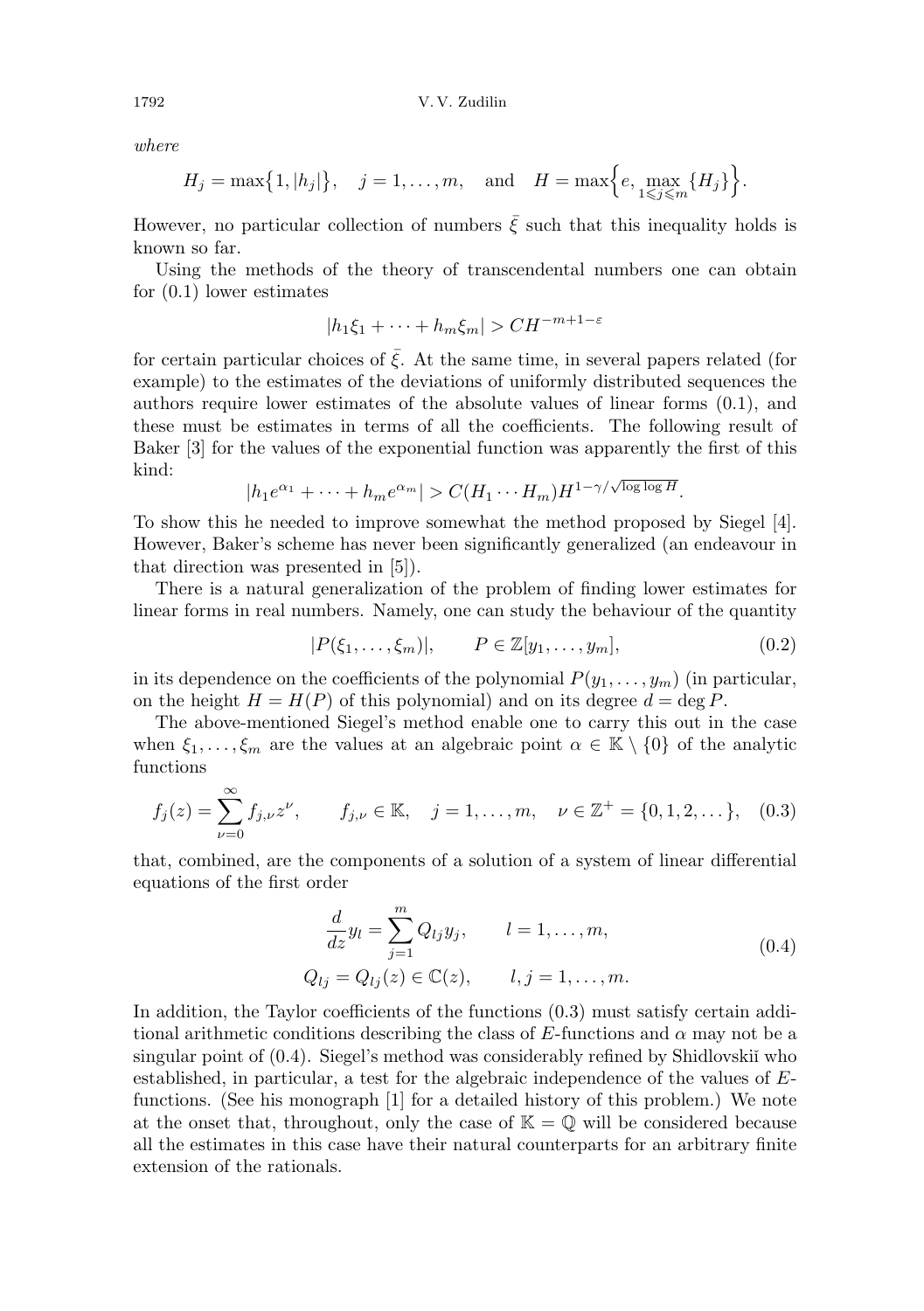where

$$
H_j = \max\{1, |h_j|\}, \quad j = 1, ..., m, \text{ and } H = \max\Big\{e, \max_{1 \leq j \leq m} \{H_j\}\Big\}.
$$

However, no particular collection of numbers  $\bar{\xi}$  such that this inequality holds is known so far.

Using the methods of the theory of transcendental numbers one can obtain for (0.1) lower estimates

$$
|h_1\xi_1 + \dots + h_m\xi_m| > CH^{-m+1-\varepsilon}
$$

for certain particular choices of  $\bar{\xi}$ . At the same time, in several papers related (for example) to the estimates of the deviations of uniformly distributed sequences the authors require lower estimates of the absolute values of linear forms (0.1), and these must be estimates in terms of all the coefficients. The following result of Baker [3] for the values of the exponential function was apparently the first of this kind:

$$
|h_1 e^{\alpha_1} + \dots + h_m e^{\alpha_m}| > C(H_1 \cdots H_m) H^{1-\gamma/\sqrt{\log \log H}}.
$$

To show this he needed to improve somewhat the method proposed by Siegel [4]. However, Baker's scheme has never been significantly generalized (an endeavour in that direction was presented in [5]).

There is a natural generalization of the problem of finding lower estimates for linear forms in real numbers. Namely, one can study the behaviour of the quantity

$$
|P(\xi_1,\ldots,\xi_m)|, \qquad P \in \mathbb{Z}[y_1,\ldots,y_m], \qquad (0.2)
$$

in its dependence on the coefficients of the polynomial  $P(y_1, \ldots, y_m)$  (in particular, on the height  $H = H(P)$  of this polynomial) and on its degree  $d = \deg P$ .

The above-mentioned Siegel's method enable one to carry this out in the case when  $\xi_1, \ldots, \xi_m$  are the values at an algebraic point  $\alpha \in \mathbb{K} \setminus \{0\}$  of the analytic functions

$$
f_j(z) = \sum_{\nu=0}^{\infty} f_{j,\nu} z^{\nu}, \qquad f_{j,\nu} \in \mathbb{K}, \quad j = 1, \dots, m, \quad \nu \in \mathbb{Z}^+ = \{0, 1, 2, \dots\}, \quad (0.3)
$$

that, combined, are the components of a solution of a system of linear differential equations of the first order

$$
\frac{d}{dz}y_l = \sum_{j=1}^{m} Q_{lj}y_j, \qquad l = 1, ..., m,
$$
  
\n
$$
Q_{lj} = Q_{lj}(z) \in \mathbb{C}(z), \qquad l, j = 1, ..., m.
$$
\n(0.4)

In addition, the Taylor coefficients of the functions (0.3) must satisfy certain additional arithmetic conditions describing the class of E-functions and  $\alpha$  may not be a singular point of  $(0.4)$ . Siegel's method was considerably refined by Shidlovskii who established, in particular, a test for the algebraic independence of the values of Efunctions. (See his monograph [1] for a detailed history of this problem.) We note at the onset that, throughout, only the case of  $\mathbb{K} = \mathbb{Q}$  will be considered because all the estimates in this case have their natural counterparts for an arbitrary finite extension of the rationals.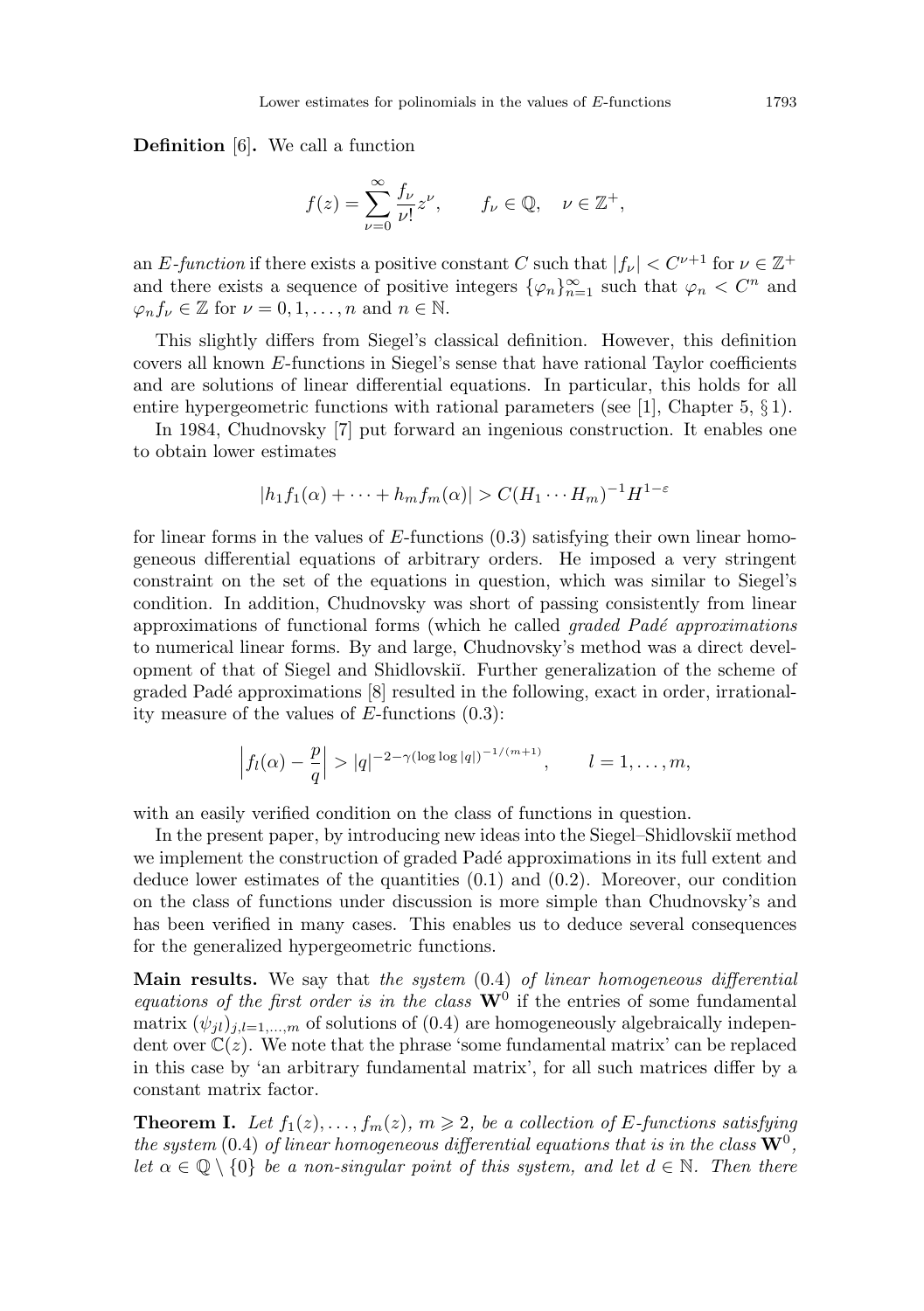Definition [6]. We call a function

$$
f(z) = \sum_{\nu=0}^{\infty} \frac{f_{\nu}}{\nu!} z^{\nu}, \qquad f_{\nu} \in \mathbb{Q}, \quad \nu \in \mathbb{Z}^{+},
$$

an E-function if there exists a positive constant C such that  $|f_{\nu}| < C^{\nu+1}$  for  $\nu \in \mathbb{Z}^+$ and there exists a sequence of positive integers  $\{\varphi_n\}_{n=1}^{\infty}$  such that  $\varphi_n < C^n$  and  $\varphi_n f_{\nu} \in \mathbb{Z}$  for  $\nu = 0, 1, \ldots, n$  and  $n \in \mathbb{N}$ .

This slightly differs from Siegel's classical definition. However, this definition covers all known E-functions in Siegel's sense that have rational Taylor coefficients and are solutions of linear differential equations. In particular, this holds for all entire hypergeometric functions with rational parameters (see [1], Chapter 5, § 1).

In 1984, Chudnovsky [7] put forward an ingenious construction. It enables one to obtain lower estimates

$$
|h_1 f_1(\alpha) + \dots + h_m f_m(\alpha)| > C(H_1 \cdots H_m)^{-1} H^{1-\varepsilon}
$$

for linear forms in the values of E-functions (0.3) satisfying their own linear homogeneous differential equations of arbitrary orders. He imposed a very stringent constraint on the set of the equations in question, which was similar to Siegel's condition. In addition, Chudnovsky was short of passing consistently from linear approximations of functional forms (which he called  $graded$   $Pad\acute{e}$  approximations to numerical linear forms. By and large, Chudnovsky's method was a direct development of that of Siegel and Shidlovskiˇı. Further generalization of the scheme of graded Pad´e approximations [8] resulted in the following, exact in order, irrationality measure of the values of E-functions (0.3):

$$
\left| f_l(\alpha) - \frac{p}{q} \right| > |q|^{-2 - \gamma(\log \log |q|)^{-1/(m+1)}}, \qquad l = 1, \ldots, m,
$$

with an easily verified condition on the class of functions in question.

In the present paper, by introducing new ideas into the Siegel–Shidlovskii method we implement the construction of graded Padé approximations in its full extent and deduce lower estimates of the quantities (0.1) and (0.2). Moreover, our condition on the class of functions under discussion is more simple than Chudnovsky's and has been verified in many cases. This enables us to deduce several consequences for the generalized hypergeometric functions.

**Main results.** We say that the system  $(0.4)$  of linear homogeneous differential equations of the first order is in the class  $W^0$  if the entries of some fundamental matrix  $(\psi_{il})_{i,l=1,\dots,m}$  of solutions of (0.4) are homogeneously algebraically independent over  $\mathbb{C}(z)$ . We note that the phrase 'some fundamental matrix' can be replaced in this case by 'an arbitrary fundamental matrix', for all such matrices differ by a constant matrix factor.

**Theorem I.** Let  $f_1(z), \ldots, f_m(z), m \geq 2$ , be a collection of E-functions satisfying the system (0.4) of linear homogeneous differential equations that is in the class  $\mathrm{W}^0,$ let  $\alpha \in \mathbb{Q} \setminus \{0\}$  be a non-singular point of this system, and let  $d \in \mathbb{N}$ . Then there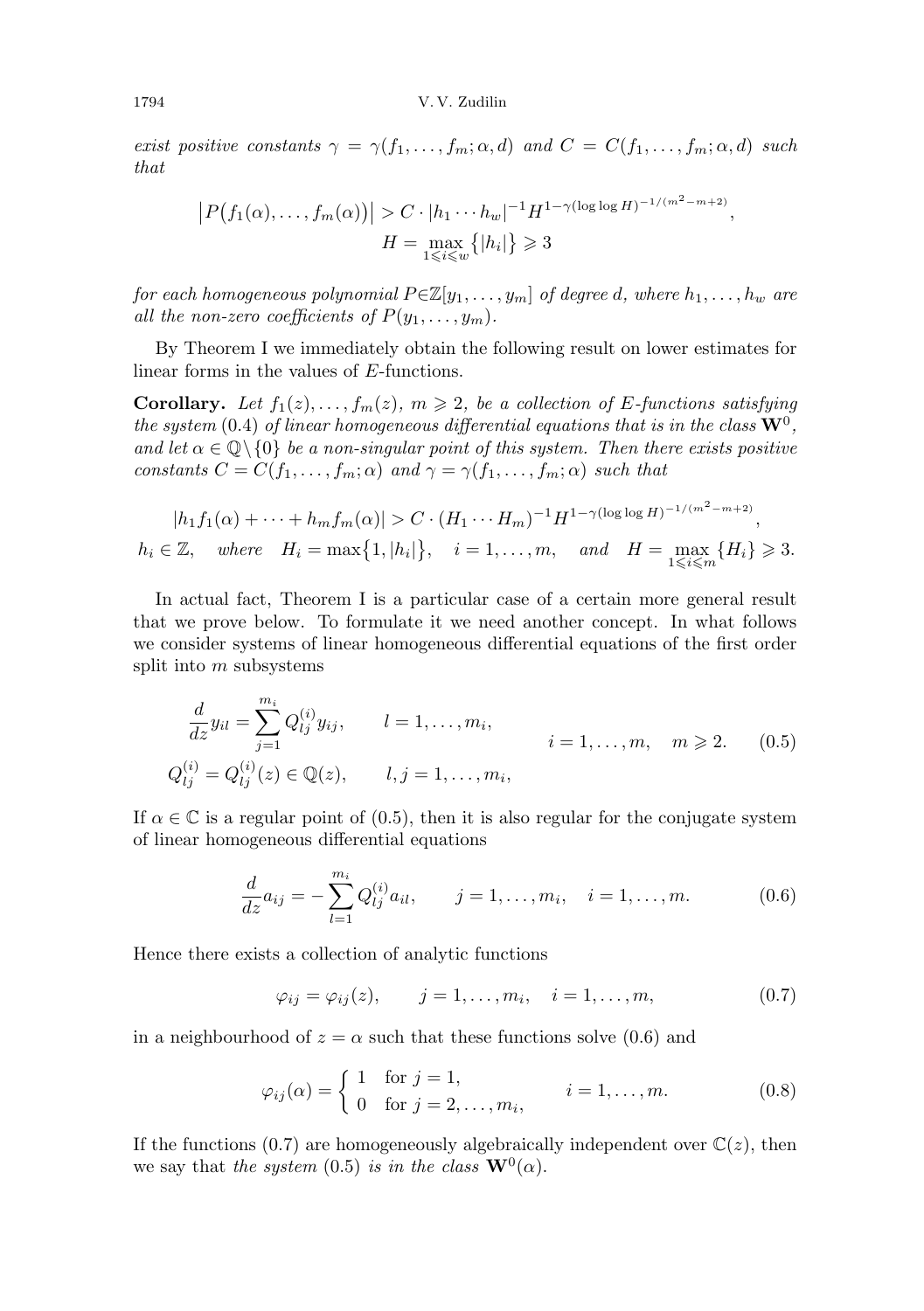exist positive constants  $\gamma = \gamma(f_1, \ldots, f_m; \alpha, d)$  and  $C = C(f_1, \ldots, f_m; \alpha, d)$  such that

$$
|P(f_1(\alpha),...,f_m(\alpha))| > C \cdot |h_1 \cdots h_w|^{-1} H^{1-\gamma(\log \log H)^{-1/(m^2-m+2)}},
$$
  

$$
H = \max_{1 \le i \le w} \{|h_i|\} \ge 3
$$

for each homogeneous polynomial  $P\in\mathbb{Z}[y_1,\ldots,y_m]$  of degree d, where  $h_1,\ldots,h_w$  are all the non-zero coefficients of  $P(y_1, \ldots, y_m)$ .

By Theorem I we immediately obtain the following result on lower estimates for linear forms in the values of E-functions.

**Corollary.** Let  $f_1(z), \ldots, f_m(z), m \geq 2$ , be a collection of E-functions satisfying the system (0.4) of linear homogeneous differential equations that is in the class  $\mathrm{W}^0,$ and let  $\alpha \in \mathbb{Q} \setminus \{0\}$  be a non-singular point of this system. Then there exists positive constants  $C = C(f_1, \ldots, f_m; \alpha)$  and  $\gamma = \gamma(f_1, \ldots, f_m; \alpha)$  such that

$$
|h_1 f_1(\alpha) + \dots + h_m f_m(\alpha)| > C \cdot (H_1 \cdots H_m)^{-1} H^{1 - \gamma(\log \log H)^{-1/(m^2 - m + 2)}},
$$
  

$$
h_i \in \mathbb{Z}, \quad \text{where} \quad H_i = \max\{1, |h_i|\}, \quad i = 1, \dots, m, \quad \text{and} \quad H = \max_{1 \leq i \leq m} \{H_i\} \geq 3.
$$

In actual fact, Theorem I is a particular case of a certain more general result that we prove below. To formulate it we need another concept. In what follows we consider systems of linear homogeneous differential equations of the first order split into  $m$  subsystems

$$
\frac{d}{dz}y_{il} = \sum_{j=1}^{m_i} Q_{lj}^{(i)} y_{ij}, \qquad l = 1, ..., m_i, \qquad i = 1, ..., m, \quad m \ge 2. \tag{0.5}
$$
\n
$$
Q_{lj}^{(i)} = Q_{lj}^{(i)}(z) \in \mathbb{Q}(z), \qquad l, j = 1, ..., m_i,
$$

If  $\alpha \in \mathbb{C}$  is a regular point of (0.5), then it is also regular for the conjugate system of linear homogeneous differential equations

$$
\frac{d}{dz}a_{ij} = -\sum_{l=1}^{m_i} Q_{lj}^{(i)} a_{il}, \qquad j = 1, \dots, m_i, \quad i = 1, \dots, m.
$$
 (0.6)

Hence there exists a collection of analytic functions

$$
\varphi_{ij} = \varphi_{ij}(z), \qquad j = 1, ..., m_i, \quad i = 1, ..., m,
$$
\n(0.7)

in a neighbourhood of  $z = \alpha$  such that these functions solve (0.6) and

$$
\varphi_{ij}(\alpha) = \begin{cases} 1 & \text{for } j = 1, \\ 0 & \text{for } j = 2, ..., m_i, \end{cases} \qquad i = 1, ..., m. \tag{0.8}
$$

If the functions (0.7) are homogeneously algebraically independent over  $\mathbb{C}(z)$ , then we say that the system (0.5) is in the class  $\mathbf{W}^0(\alpha)$ .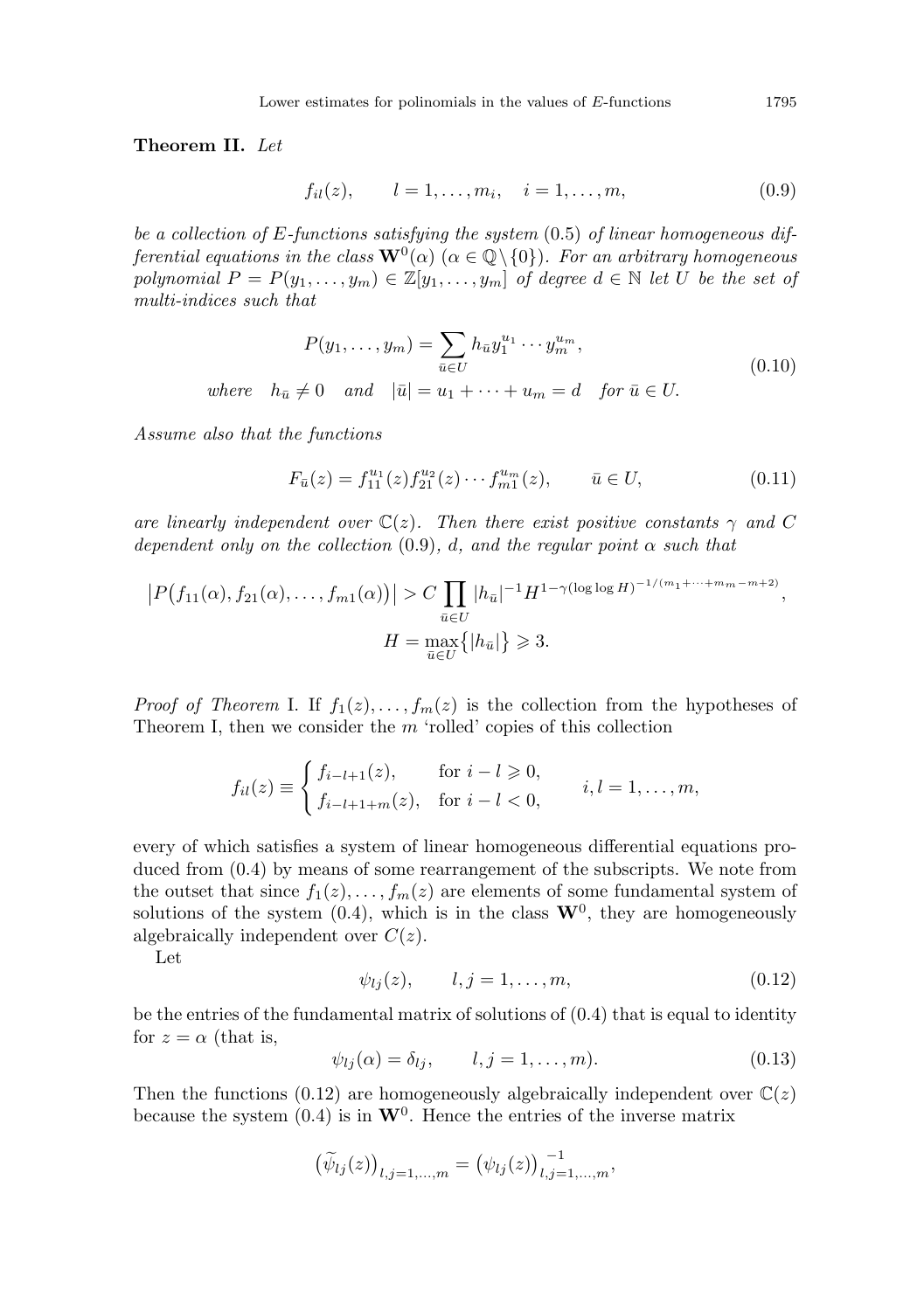Theorem II. Let

$$
f_{il}(z), \t l = 1, ..., m_i, \t i = 1, ..., m,
$$
\t(0.9)

be a collection of E-functions satisfying the system  $(0.5)$  of linear homogeneous differential equations in the class  $\mathbf{W}^0(\alpha)$  ( $\alpha \in \mathbb{Q}\setminus\{0\}$ ). For an arbitrary homogeneous polynomial  $P = P(y_1, \ldots, y_m) \in \mathbb{Z}[y_1, \ldots, y_m]$  of degree  $d \in \mathbb{N}$  let U be the set of multi-indices such that

$$
P(y_1, \dots, y_m) = \sum_{\bar{u} \in U} h_{\bar{u}} y_1^{u_1} \cdots y_m^{u_m},
$$
  
where  $h_{\bar{u}} \neq 0$  and  $|\bar{u}| = u_1 + \cdots + u_m = d$  for  $\bar{u} \in U$ . (0.10)

Assume also that the functions

$$
F_{\bar{u}}(z) = f_{11}^{u_1}(z) f_{21}^{u_2}(z) \cdots f_{m1}^{u_m}(z), \qquad \bar{u} \in U,
$$
\n(0.11)

are linearly independent over  $\mathbb{C}(z)$ . Then there exist positive constants  $\gamma$  and C dependent only on the collection  $(0.9)$ , d, and the regular point  $\alpha$  such that

$$
|P(f_{11}(\alpha), f_{21}(\alpha), \dots, f_{m1}(\alpha))| > C \prod_{\bar{u} \in U} |h_{\bar{u}}|^{-1} H^{1-\gamma(\log \log H)^{-1/(m_1+\dots+m_m-m+2)}},
$$
  

$$
H = \max_{\bar{u} \in U} \{|h_{\bar{u}}|\} \ge 3.
$$

*Proof of Theorem I.* If  $f_1(z), \ldots, f_m(z)$  is the collection from the hypotheses of Theorem I, then we consider the  $m$  'rolled' copies of this collection

$$
f_{il}(z) \equiv \begin{cases} f_{i-l+1}(z), & \text{for } i-l \geq 0, \\ f_{i-l+1+m}(z), & \text{for } i-l < 0, \end{cases} \quad i, l = 1, \dots, m,
$$

every of which satisfies a system of linear homogeneous differential equations produced from (0.4) by means of some rearrangement of the subscripts. We note from the outset that since  $f_1(z), \ldots, f_m(z)$  are elements of some fundamental system of solutions of the system  $(0.4)$ , which is in the class  $\mathbf{W}^0$ , they are homogeneously algebraically independent over  $C(z)$ .

Let

$$
\psi_{lj}(z), \qquad l, j = 1, \dots, m,\tag{0.12}
$$

be the entries of the fundamental matrix of solutions of (0.4) that is equal to identity for  $z = \alpha$  (that is,

$$
\psi_{lj}(\alpha) = \delta_{lj}, \qquad l, j = 1, \dots, m). \tag{0.13}
$$

Then the functions (0.12) are homogeneously algebraically independent over  $\mathbb{C}(z)$ because the system (0.4) is in  $\mathbf{W}^0$ . Hence the entries of the inverse matrix

$$
(\widetilde{\psi}_{lj}(z))_{l,j=1,...,m} = (\psi_{lj}(z))_{l,j=1,...,m}^{-1},
$$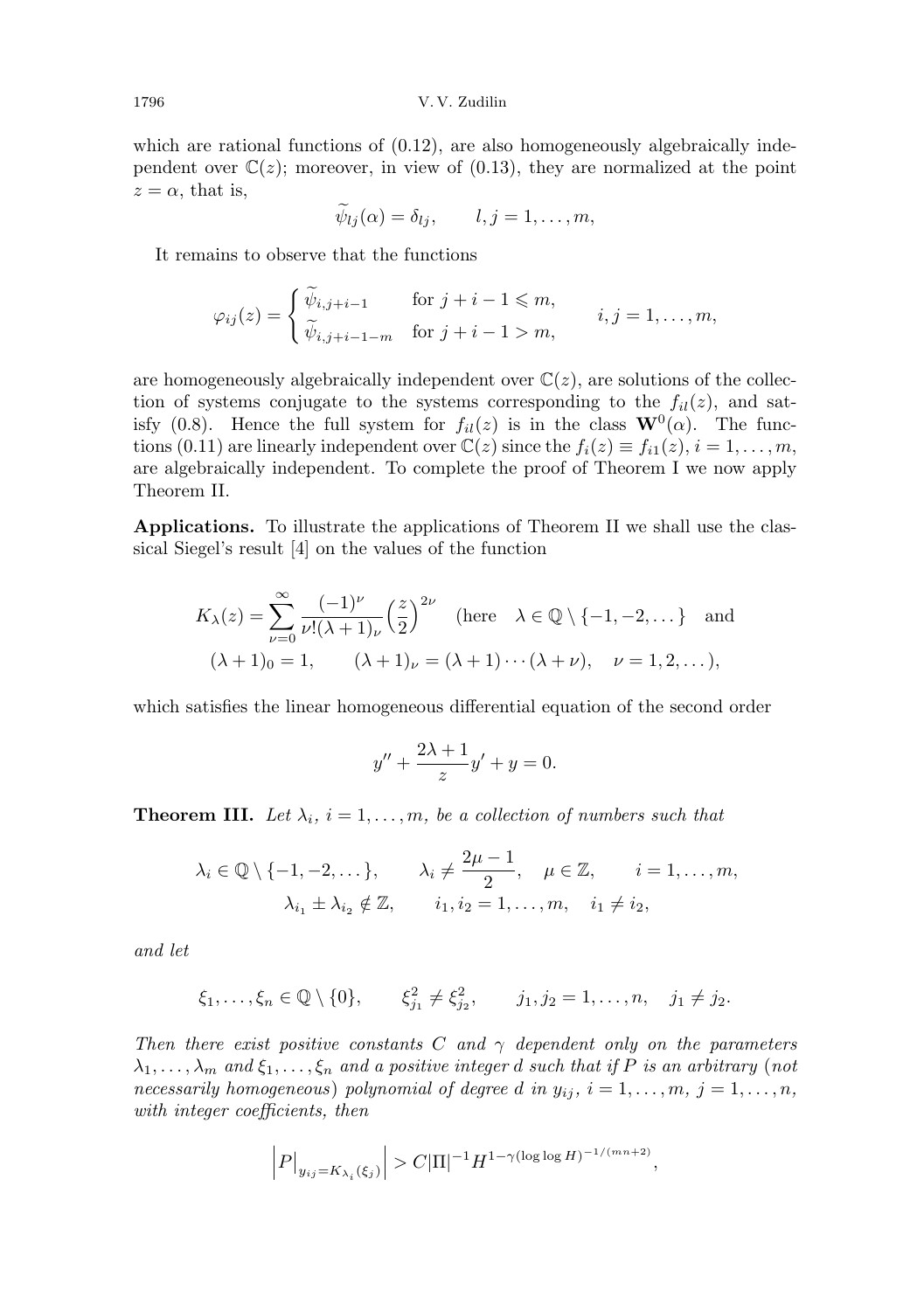which are rational functions of  $(0.12)$ , are also homogeneously algebraically independent over  $\mathbb{C}(z)$ ; moreover, in view of (0.13), they are normalized at the point  $z = \alpha$ , that is,

$$
\psi_{lj}(\alpha)=\delta_{lj}, \qquad l,j=1,\ldots,m,
$$

It remains to observe that the functions

$$
\varphi_{ij}(z) = \begin{cases} \widetilde{\psi}_{i,j+i-1} & \text{for } j+i-1 \leq m, \\ \widetilde{\psi}_{i,j+i-1-m} & \text{for } j+i-1 > m, \end{cases} \quad i,j = 1,\ldots,m,
$$

are homogeneously algebraically independent over  $\mathbb{C}(z)$ , are solutions of the collection of systems conjugate to the systems corresponding to the  $f_{il}(z)$ , and satisfy (0.8). Hence the full system for  $f_{il}(z)$  is in the class  $\mathbf{W}^{0}(\alpha)$ . The functions (0.11) are linearly independent over  $\mathbb{C}(z)$  since the  $f_i(z) \equiv f_{i1}(z), i = 1, \ldots, m$ , are algebraically independent. To complete the proof of Theorem I we now apply Theorem II.

Applications. To illustrate the applications of Theorem II we shall use the classical Siegel's result [4] on the values of the function

$$
K_{\lambda}(z) = \sum_{\nu=0}^{\infty} \frac{(-1)^{\nu}}{\nu!(\lambda+1)_{\nu}} \left(\frac{z}{2}\right)^{2\nu} \quad \text{(here} \quad \lambda \in \mathbb{Q} \setminus \{-1, -2, \dots\} \quad \text{and}
$$
\n
$$
(\lambda+1)_{0} = 1, \qquad (\lambda+1)_{\nu} = (\lambda+1) \cdots (\lambda+\nu), \quad \nu = 1, 2, \dots),
$$

which satisfies the linear homogeneous differential equation of the second order

$$
y'' + \frac{2\lambda + 1}{z}y' + y = 0.
$$

**Theorem III.** Let  $\lambda_i$ ,  $i = 1, \ldots, m$ , be a collection of numbers such that

$$
\lambda_i \in \mathbb{Q} \setminus \{-1, -2, \dots\}, \qquad \lambda_i \neq \frac{2\mu - 1}{2}, \quad \mu \in \mathbb{Z}, \qquad i = 1, \dots, m,
$$

$$
\lambda_{i_1} \pm \lambda_{i_2} \notin \mathbb{Z}, \qquad i_1, i_2 = 1, \dots, m, \quad i_1 \neq i_2,
$$

and let

$$
\xi_1, \ldots, \xi_n \in \mathbb{Q} \setminus \{0\}, \qquad \xi_{j_1}^2 \neq \xi_{j_2}^2, \qquad j_1, j_2 = 1, \ldots, n, \quad j_1 \neq j_2.
$$

Then there exist positive constants C and  $\gamma$  dependent only on the parameters  $\lambda_1, \ldots, \lambda_m$  and  $\xi_1, \ldots, \xi_n$  and a positive integer d such that if P is an arbitrary (not necessarily homogeneous) polynomial of degree d in  $y_{ij}$ ,  $i = 1, \ldots, m, j = 1, \ldots, n$ , with integer coefficients, then

$$
\Big|P\big|_{y_{ij}=K_{\lambda_i}(\xi_j)}\Big|>C|\Pi|^{-1}H^{1-\gamma(\log\log H)^{-1/(mn+2)}},
$$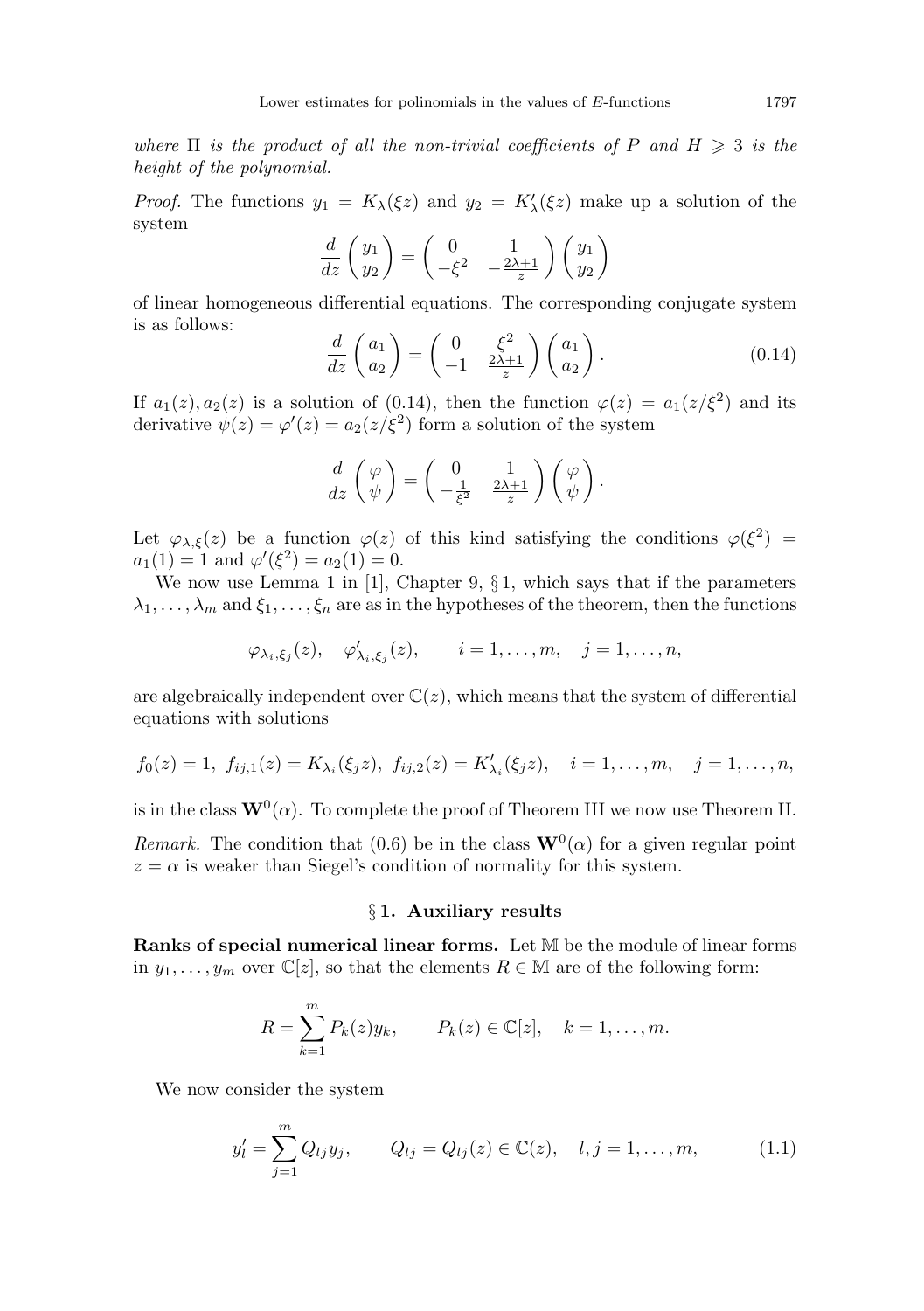where  $\Pi$  is the product of all the non-trivial coefficients of P and  $H \geq 3$  is the height of the polynomial.

*Proof.* The functions  $y_1 = K_\lambda(\xi z)$  and  $y_2 = K'_\lambda(\xi z)$  make up a solution of the system

$$
\frac{d}{dz}\begin{pmatrix}y_1\\y_2\end{pmatrix} = \begin{pmatrix}0&1\\-\xi^2&-\frac{2\lambda+1}{z}\end{pmatrix}\begin{pmatrix}y_1\\y_2\end{pmatrix}
$$

of linear homogeneous differential equations. The corresponding conjugate system is as follows:  $20<sup>2</sup>$ 

$$
\frac{d}{dz}\begin{pmatrix} a_1\\ a_2 \end{pmatrix} = \begin{pmatrix} 0 & \xi^2\\ -1 & \frac{2\lambda+1}{z} \end{pmatrix} \begin{pmatrix} a_1\\ a_2 \end{pmatrix}.
$$
 (0.14)

If  $a_1(z), a_2(z)$  is a solution of (0.14), then the function  $\varphi(z) = a_1(z/\xi^2)$  and its derivative  $\psi(z) = \varphi'(z) = a_2(z/\xi^2)$  form a solution of the system

$$
\frac{d}{dz}\begin{pmatrix} \varphi \\ \psi \end{pmatrix} = \begin{pmatrix} 0 & 1 \\ -\frac{1}{\xi^2} & \frac{2\lambda+1}{z} \end{pmatrix} \begin{pmatrix} \varphi \\ \psi \end{pmatrix}.
$$

Let  $\varphi_{\lambda,\xi}(z)$  be a function  $\varphi(z)$  of this kind satisfying the conditions  $\varphi(\xi^2)$  =  $a_1(1) = 1$  and  $\varphi'(\xi^2) = a_2(1) = 0$ .

We now use Lemma 1 in [1], Chapter 9,  $\S 1$ , which says that if the parameters  $\lambda_1, \ldots, \lambda_m$  and  $\xi_1, \ldots, \xi_n$  are as in the hypotheses of the theorem, then the functions

$$
\varphi_{\lambda_i,\xi_j}(z), \quad \varphi'_{\lambda_i,\xi_j}(z), \qquad i=1,\ldots,m, \quad j=1,\ldots,n,
$$

are algebraically independent over  $\mathbb{C}(z)$ , which means that the system of differential equations with solutions

$$
f_0(z) = 1
$$
,  $f_{ij,1}(z) = K_{\lambda_i}(\xi_j z)$ ,  $f_{ij,2}(z) = K'_{\lambda_i}(\xi_j z)$ ,  $i = 1,...,m$ ,  $j = 1,...,n$ ,

is in the class  $\mathbf{W}^0(\alpha)$ . To complete the proof of Theorem III we now use Theorem II.

Remark. The condition that (0.6) be in the class  $\mathbf{W}^0(\alpha)$  for a given regular point  $z = \alpha$  is weaker than Siegel's condition of normality for this system.

## § 1. Auxiliary results

Ranks of special numerical linear forms. Let M be the module of linear forms in  $y_1, \ldots, y_m$  over  $\mathbb{C}[z]$ , so that the elements  $R \in \mathbb{M}$  are of the following form:

$$
R = \sum_{k=1}^{m} P_k(z) y_k, \qquad P_k(z) \in \mathbb{C}[z], \quad k = 1, \dots, m.
$$

We now consider the system

$$
y'_{l} = \sum_{j=1}^{m} Q_{lj} y_{j}, \qquad Q_{lj} = Q_{lj}(z) \in \mathbb{C}(z), \quad l, j = 1, \dots, m,
$$
 (1.1)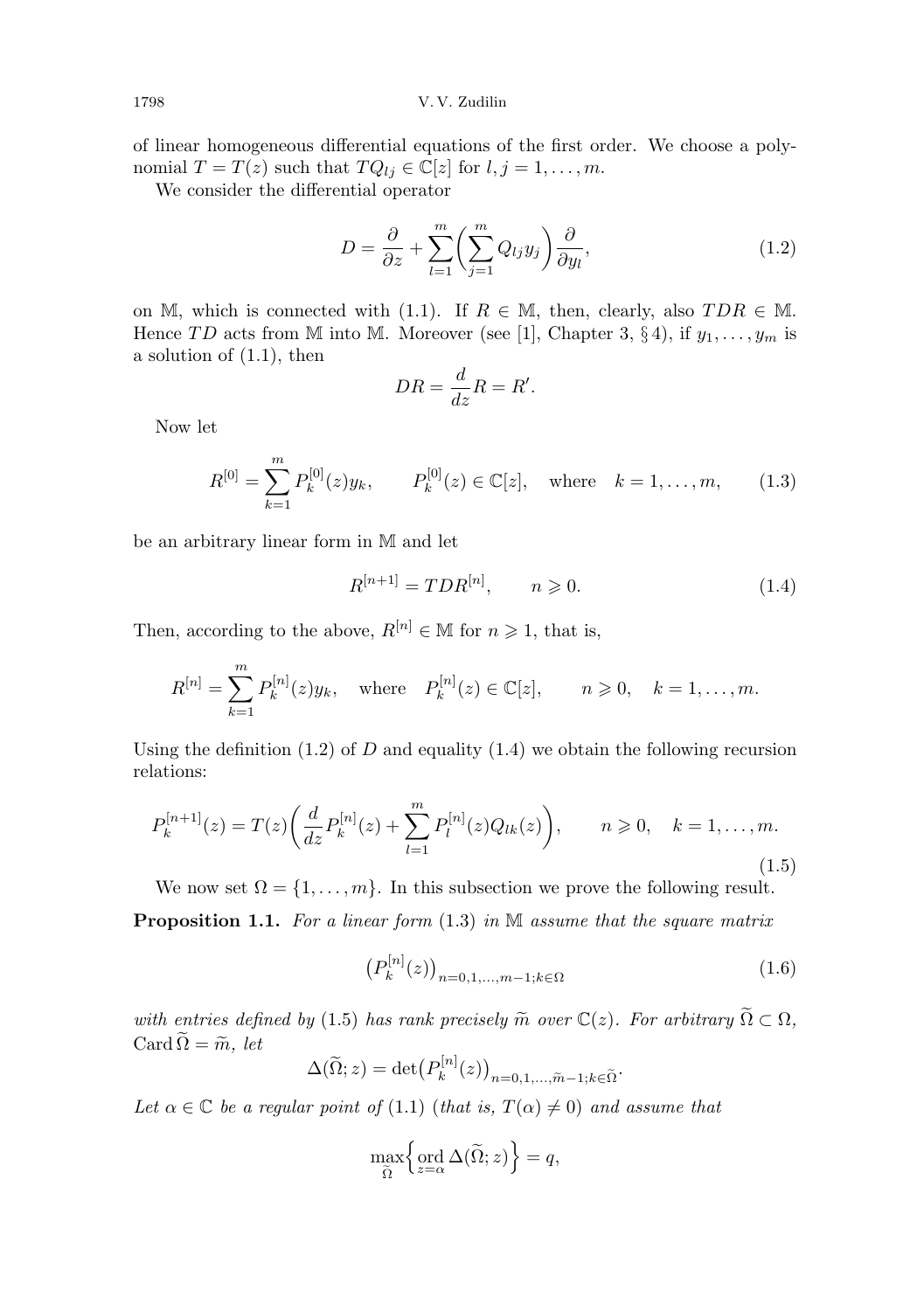of linear homogeneous differential equations of the first order. We choose a polynomial  $T = T(z)$  such that  $TQ_{lj} \in \mathbb{C}[z]$  for  $l, j = 1, \ldots, m$ .

We consider the differential operator

$$
D = \frac{\partial}{\partial z} + \sum_{l=1}^{m} \left( \sum_{j=1}^{m} Q_{lj} y_j \right) \frac{\partial}{\partial y_l},
$$
\n(1.2)

on M, which is connected with (1.1). If  $R \in \mathbb{M}$ , then, clearly, also  $TDR \in \mathbb{M}$ . Hence TD acts from M into M. Moreover (see [1], Chapter 3, § 4), if  $y_1, \ldots, y_m$  is a solution of (1.1), then

$$
DR = \frac{d}{dz}R = R'.
$$

Now let

$$
R^{[0]} = \sum_{k=1}^{m} P_k^{[0]}(z)y_k, \qquad P_k^{[0]}(z) \in \mathbb{C}[z], \quad \text{where} \quad k = 1, \dots, m,
$$
 (1.3)

be an arbitrary linear form in M and let

$$
R^{[n+1]} = TDR^{[n]}, \qquad n \geq 0. \tag{1.4}
$$

Then, according to the above,  $R^{[n]} \in \mathbb{M}$  for  $n \geq 1$ , that is,

$$
R^{[n]} = \sum_{k=1}^{m} P_k^{[n]}(z) y_k, \text{ where } P_k^{[n]}(z) \in \mathbb{C}[z], \quad n \ge 0, \quad k = 1, \dots, m.
$$

Using the definition  $(1.2)$  of D and equality  $(1.4)$  we obtain the following recursion relations:

$$
P_k^{[n+1]}(z) = T(z) \left( \frac{d}{dz} P_k^{[n]}(z) + \sum_{l=1}^m P_l^{[n]}(z) Q_{lk}(z) \right), \qquad n \geqslant 0, \quad k = 1, \dots, m.
$$
\n(1.5)

We now set  $\Omega = \{1, \ldots, m\}$ . In this subsection we prove the following result.

**Proposition 1.1.** For a linear form  $(1.3)$  in M assume that the square matrix

$$
\left(P_k^{[n]}(z)\right)_{n=0,1,\dots,m-1;k\in\Omega} \tag{1.6}
$$

with entries defined by (1.5) has rank precisely  $\widetilde{m}$  over  $\mathbb{C}(z)$ . For arbitrary  $\widetilde{\Omega} \subset \Omega$ , Card  $\widetilde{\Omega} = \widetilde{m}$ , let

$$
\Delta(\widetilde{\Omega}; z) = \det \big( P_k^{[n]}(z) \big)_{n=0,1,\ldots,\widetilde{m}-1; k \in \widetilde{\Omega}}.
$$

Let  $\alpha \in \mathbb{C}$  be a regular point of (1.1) (that is,  $T(\alpha) \neq 0$ ) and assume that

$$
\max_{\widetilde{\Omega}} \left\{ \operatorname{ord}_{z=\alpha} \Delta(\widetilde{\Omega}; z) \right\} = q,
$$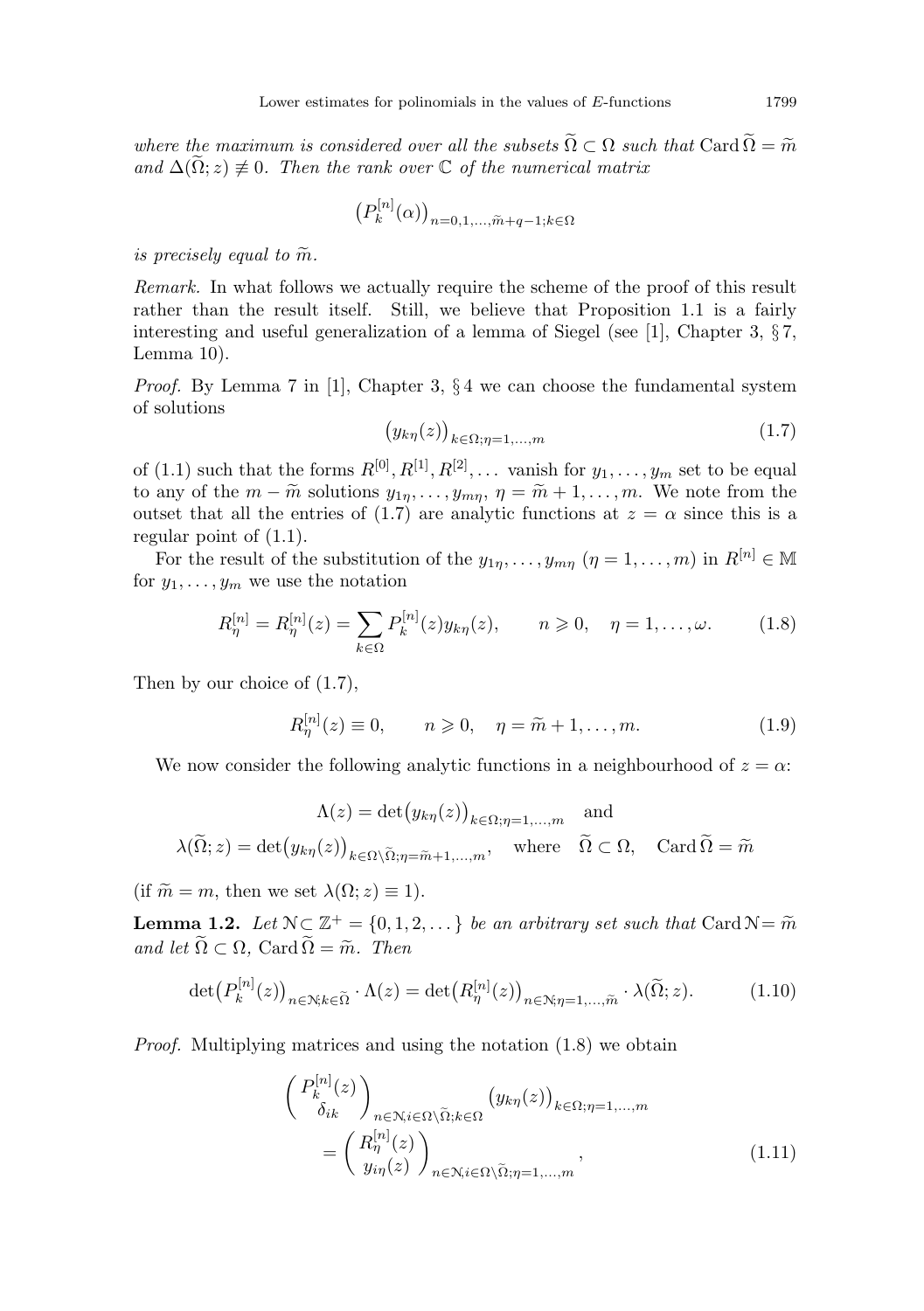where the maximum is considered over all the subsets  $\widetilde{\Omega} \subset \Omega$  such that Card  $\widetilde{\Omega} = \widetilde{m}$ and  $\Delta(\tilde{\Omega}; z) \neq 0$ . Then the rank over  $\mathbb C$  of the numerical matrix

$$
\big(P^{[n]}_k(\alpha)\big)_{n=0,1,...,\tilde{m}+q-1; k\in\Omega}
$$

is precisely equal to  $\widetilde{m}$ .

Remark. In what follows we actually require the scheme of the proof of this result rather than the result itself. Still, we believe that Proposition 1.1 is a fairly interesting and useful generalization of a lemma of Siegel (see [1], Chapter 3, § 7, Lemma 10).

*Proof.* By Lemma 7 in [1], Chapter 3,  $\S 4$  we can choose the fundamental system of solutions

$$
(y_{k\eta}(z))_{k \in \Omega; \eta = 1,\dots,m} \tag{1.7}
$$

of (1.1) such that the forms  $R^{[0]}, R^{[1]}, R^{[2]}, \dots$  vanish for  $y_1, \dots, y_m$  set to be equal to any of the  $m - \widetilde{m}$  solutions  $y_{1\eta}, \ldots, y_{m\eta}, \eta = \widetilde{m} + 1, \ldots, m$ . We note from the outset that all the entries of (1.7) are analytic functions at  $z = \alpha$  since this is a regular point of (1.1).

For the result of the substitution of the  $y_{1n}, \ldots, y_{mn}$   $(\eta = 1, \ldots, m)$  in  $R^{[n]} \in \mathbb{M}$ for  $y_1, \ldots, y_m$  we use the notation

$$
R_{\eta}^{[n]} = R_{\eta}^{[n]}(z) = \sum_{k \in \Omega} P_k^{[n]}(z) y_{k\eta}(z), \qquad n \geq 0, \quad \eta = 1, ..., \omega.
$$
 (1.8)

Then by our choice of (1.7),

$$
R_{\eta}^{[n]}(z) \equiv 0, \qquad n \geqslant 0, \quad \eta = \widetilde{m} + 1, \dots, m. \tag{1.9}
$$

We now consider the following analytic functions in a neighbourhood of  $z = \alpha$ :

$$
\Lambda(z) = \det(y_{k\eta}(z))_{k \in \Omega; \eta = 1, \dots, m} \text{ and}
$$

$$
\lambda(\widetilde{\Omega}; z) = \det(y_{k\eta}(z))_{k \in \Omega \setminus \widetilde{\Omega}; \eta = \widetilde{m} + 1, \dots, m}, \text{ where } \widetilde{\Omega} \subset \Omega, \text{ Card } \widetilde{\Omega} = \widetilde{m}
$$

(if  $\widetilde{m} = m$ , then we set  $\lambda(\Omega; z) \equiv 1$ ).

**Lemma 1.2.** Let  $N \subset \mathbb{Z}^+ = \{0, 1, 2, ...\}$  be an arbitrary set such that Card  $N = \widetilde{m}$ <br>and let  $\widetilde{O} \subset \Omega$ . Card  $\widetilde{O} = \widetilde{\infty}$ . Then and let  $\widetilde{\Omega} \subset \Omega$ , Card  $\widetilde{\Omega} = \widetilde{m}$ . Then

$$
\det(P_k^{[n]}(z))_{n \in \mathcal{N}; k \in \widetilde{\Omega}} \cdot \Lambda(z) = \det(R_{\eta}^{[n]}(z))_{n \in \mathcal{N}; \eta = 1, \dots, \widetilde{m}} \cdot \lambda(\widetilde{\Omega}; z). \tag{1.10}
$$

Proof. Multiplying matrices and using the notation (1.8) we obtain

$$
\begin{aligned}\n\left(\begin{array}{c} P_k^{[n]}(z) \\ \delta_{ik} \end{array}\right)_{n \in \mathcal{N}, i \in \Omega \setminus \tilde{\Omega}; k \in \Omega} (y_{k\eta}(z))_{k \in \Omega; \eta = 1, \dots, m} \\
= \left(\begin{array}{c} P_{\eta}^{[n]}(z) \\ y_{i\eta}(z) \end{array}\right)_{n \in \mathcal{N}, i \in \Omega \setminus \tilde{\Omega}; \eta = 1, \dots, m},\n\end{aligned} \tag{1.11}
$$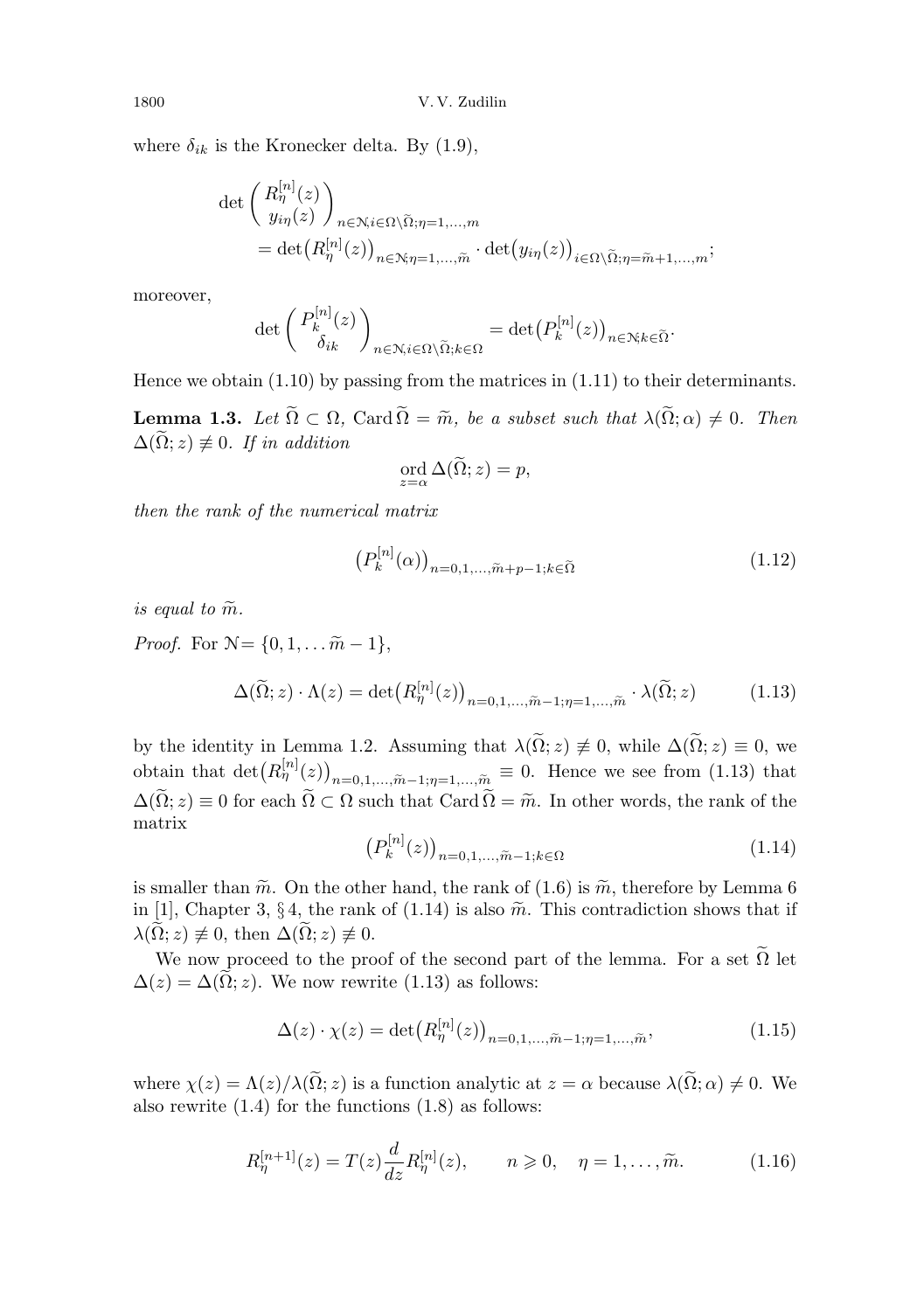where  $\delta_{ik}$  is the Kronecker delta. By (1.9),

$$
\det\begin{pmatrix} R_{\eta}^{[n]}(z) \\ y_{i\eta}(z) \end{pmatrix}_{n \in \mathcal{N}, i \in \Omega \setminus \tilde{\Omega}; \eta = 1, \dots, m}
$$
  
= 
$$
\det(R_{\eta}^{[n]}(z))_{n \in \mathcal{N}; \eta = 1, \dots, \tilde{m}} \cdot \det(y_{i\eta}(z))_{i \in \Omega \setminus \tilde{\Omega}; \eta = \tilde{m} + 1, \dots, m};
$$

moreover,

$$
\det\left(\frac{P_k^{[n]}(z)}{\delta_{ik}}\right)_{n\in\mathcal{N},i\in\Omega\setminus\widetilde{\Omega};k\in\Omega}=\det\left(P_k^{[n]}(z)\right)_{n\in\mathcal{N};k\in\widetilde{\Omega}}.
$$

Hence we obtain (1.10) by passing from the matrices in (1.11) to their determinants.

**Lemma 1.3.** Let  $\widetilde{\Omega} \subset \Omega$ , Card  $\widetilde{\Omega} = \widetilde{m}$ , be a subset such that  $\lambda(\widetilde{\Omega}; \alpha) \neq 0$ . Then  $\Delta(\widetilde{\Omega}; z) \not\equiv 0$ . If in addition

$$
\operatorname{ord}_{z=\alpha} \Delta(\widetilde{\Omega}; z) = p,
$$

then the rank of the numerical matrix

$$
\left(P_k^{[n]}(\alpha)\right)_{n=0,1,\dots,\tilde{m}+p-1;k\in\tilde{\Omega}}
$$
\n(1.12)

is equal to  $\widetilde{m}$ .

*Proof.* For  $N = \{0, 1, \ldots \tilde{m} - 1\},\$ 

$$
\Delta(\widetilde{\Omega}; z) \cdot \Lambda(z) = \det \left( R_{\eta}^{[n]}(z) \right)_{n=0,1,\dots,\widetilde{m}-1;\eta=1,\dots,\widetilde{m}} \cdot \lambda(\widetilde{\Omega}; z)
$$
(1.13)

by the identity in Lemma 1.2. Assuming that  $\lambda(\widetilde{\Omega}; z) \neq 0$ , while  $\Delta(\widetilde{\Omega}; z) \equiv 0$ , we obtain that  $\det(R_{\eta}^{[n]}(z))_{n=0,1,...,\tilde{m}-1;\eta=1,...,\tilde{m}} \equiv 0$ . Hence we see from (1.13) that  $\Delta(\tilde{\Omega}; z) \equiv 0$  for each  $\tilde{\Omega} \subset \Omega$  such that  $\text{Card } \tilde{\Omega} = \tilde{m}$ . In other words, the rank of the matrix

$$
\left(P_k^{[n]}(z)\right)_{n=0,1,\ldots,\tilde{m}-1;k\in\Omega} \tag{1.14}
$$

is smaller than  $\tilde{m}$ . On the other hand, the rank of (1.6) is  $\tilde{m}$ , therefore by Lemma 6 in [1], Chapter 3, § 4, the rank of (1.14) is also  $\tilde{m}$ . This contradiction shows that if  $\lambda(\Omega; z) \not\equiv 0$ , then  $\Delta(\Omega; z) \not\equiv 0$ .

We now proceed to the proof of the second part of the lemma. For a set  $\widetilde{\Omega}$  let  $\Delta(z) = \Delta(\tilde{\Omega}; z)$ . We now rewrite (1.13) as follows:

$$
\Delta(z) \cdot \chi(z) = \det(R_{\eta}^{[n]}(z))_{n=0,1,\dots,\tilde{m}-1;\eta=1,\dots,\tilde{m}},
$$
\n(1.15)

where  $\chi(z) = \Lambda(z)/\lambda(\tilde{\Omega}; z)$  is a function analytic at  $z = \alpha$  because  $\lambda(\tilde{\Omega}; \alpha) \neq 0$ . We also rewrite (1.4) for the functions (1.8) as follows:

$$
R_{\eta}^{[n+1]}(z) = T(z) \frac{d}{dz} R_{\eta}^{[n]}(z), \qquad n \geq 0, \quad \eta = 1, \dots, \tilde{m}.
$$
 (1.16)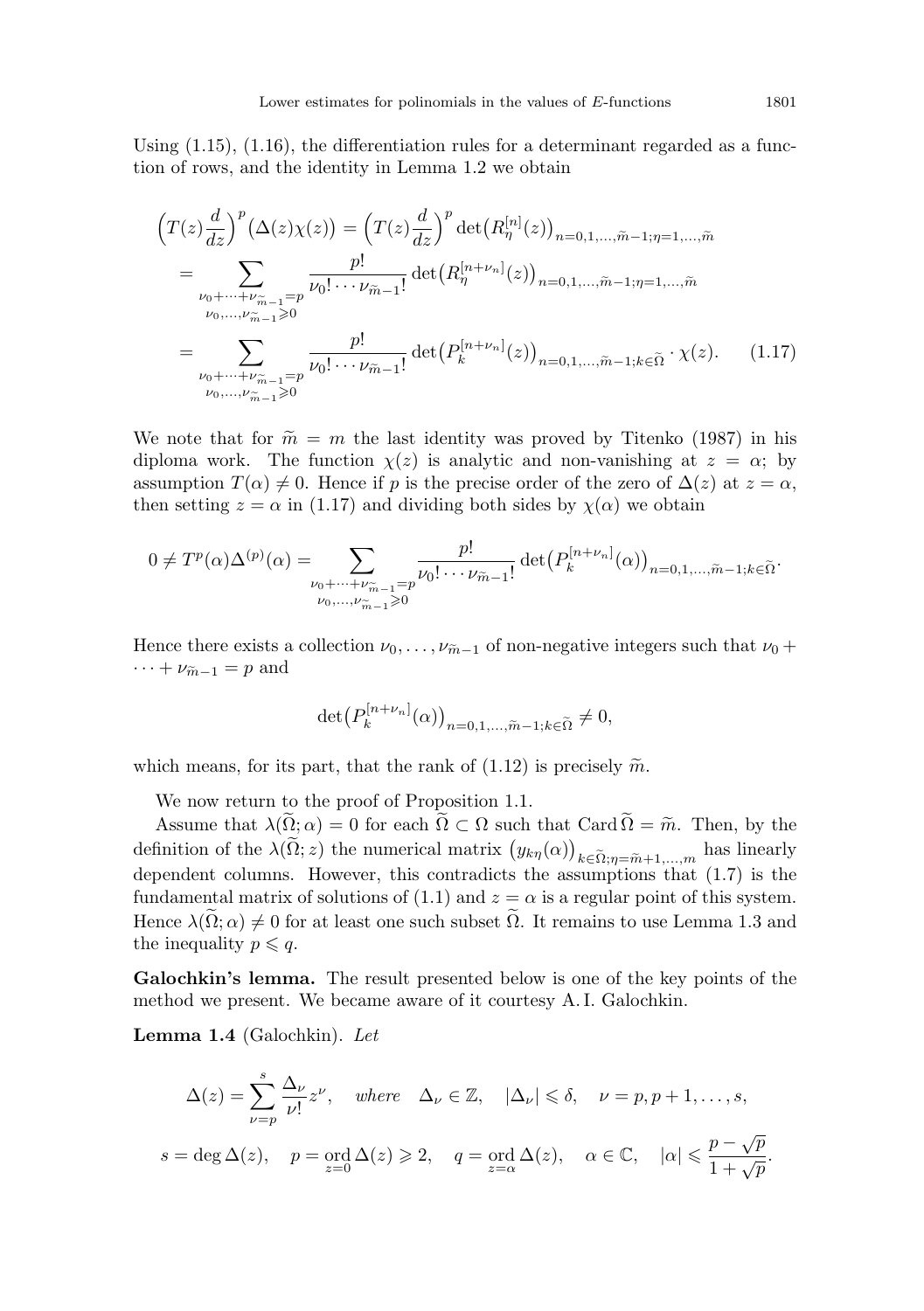Using  $(1.15)$ ,  $(1.16)$ , the differentiation rules for a determinant regarded as a function of rows, and the identity in Lemma 1.2 we obtain

$$
\left(T(z)\frac{d}{dz}\right)^{p}(\Delta(z)\chi(z)) = \left(T(z)\frac{d}{dz}\right)^{p} \det\left(R_{\eta}^{[n]}(z)\right)_{n=0,1,\ldots,\tilde{m}-1;\eta=1,\ldots,\tilde{m}}
$$
\n
$$
= \sum_{\substack{\nu_{0}+\cdots+\nu_{\tilde{m}-1}=p\\ \nu_{0},\ldots,\nu_{\tilde{m}-1}\geq 0}} \frac{p!}{\nu_{0}!\cdots\nu_{\tilde{m}-1}!} \det\left(R_{\eta}^{[n+\nu_{n}]}(z)\right)_{n=0,1,\ldots,\tilde{m}-1;\eta=1,\ldots,\tilde{m}}
$$
\n
$$
= \sum_{\substack{\nu_{0}+\cdots+\nu_{\tilde{m}-1}=p\\ \nu_{0}+\cdots+\nu_{\tilde{m}-1}=p}} \frac{p!}{\nu_{0}!\cdots\nu_{\tilde{m}-1}!} \det\left(P_{k}^{[n+\nu_{n}]}(z)\right)_{n=0,1,\ldots,\tilde{m}-1;k\in\tilde{\Omega}} \cdot \chi(z). \tag{1.17}
$$

We note that for  $\tilde{m} = m$  the last identity was proved by Titenko (1987) in his diploma work. The function  $\chi(z)$  is analytic and non-vanishing at  $z = \alpha$ ; by assumption  $T(\alpha) \neq 0$ . Hence if p is the precise order of the zero of  $\Delta(z)$  at  $z = \alpha$ , then setting  $z = \alpha$  in (1.17) and dividing both sides by  $\chi(\alpha)$  we obtain

$$
0 \neq T^{p}(\alpha) \Delta^{(p)}(\alpha) = \sum_{\substack{\nu_0 + \dots + \nu_{\widetilde{m}-1} = p \\ \nu_0, \dots, \nu_{\widetilde{m}-1} > 0}} \frac{p!}{\nu_0! \cdots \nu_{\widetilde{m}-1}!} \det (P_k^{[n+\nu_n]}(\alpha))_{n=0,1,\dots,\widetilde{m}-1; k \in \widetilde{\Omega}}.
$$

Hence there exists a collection  $\nu_0, \ldots, \nu_{m-1}$  of non-negative integers such that  $\nu_0 +$  $\cdots + \nu_{\widetilde{m}-1} = p$  and

$$
\det\left(P_k^{[n+\nu_n]}(\alpha)\right)_{n=0,1,\ldots,\widetilde{m}-1;k\in\widetilde{\Omega}}\neq 0,
$$

which means, for its part, that the rank of  $(1.12)$  is precisely  $\tilde{m}$ .

We now return to the proof of Proposition 1.1.

Assume that  $\lambda(\Omega;\alpha) = 0$  for each  $\Omega \subset \Omega$  such that Card  $\Omega = \tilde{m}$ . Then, by the definition of the  $\lambda(\Omega; z)$  the numerical matrix  $(y_{k\eta}(\alpha))_{k\in\tilde{\Omega};\eta=\tilde{m}+1,\dots,m}$  has linearly dependent columns. However, this contradicts the assumptions that (1.7) is the dependent columns. However, this contradicts the assumptions that (1.7) is the fundamental matrix of solutions of (1.1) and  $z = \alpha$  is a regular point of this system. Hence  $\lambda(\widetilde{\Omega};\alpha) \neq 0$  for at least one such subset  $\widetilde{\Omega}$ . It remains to use Lemma 1.3 and the inequality  $p \leqslant q$ .

Galochkin's lemma. The result presented below is one of the key points of the method we present. We became aware of it courtesy A. I. Galochkin.

Lemma 1.4 (Galochkin). Let

$$
\Delta(z) = \sum_{\nu=p}^{s} \frac{\Delta_{\nu}}{\nu!} z^{\nu}, \quad \text{where} \quad \Delta_{\nu} \in \mathbb{Z}, \quad |\Delta_{\nu}| \leq \delta, \quad \nu = p, p+1, \dots, s,
$$

$$
s = \deg \Delta(z), \quad p = \text{ord } \Delta(z) \geqslant 2, \quad q = \text{ord } \Delta(z), \quad \alpha \in \mathbb{C}, \quad |\alpha| \leqslant \frac{p - \sqrt{p}}{1 + \sqrt{p}}.
$$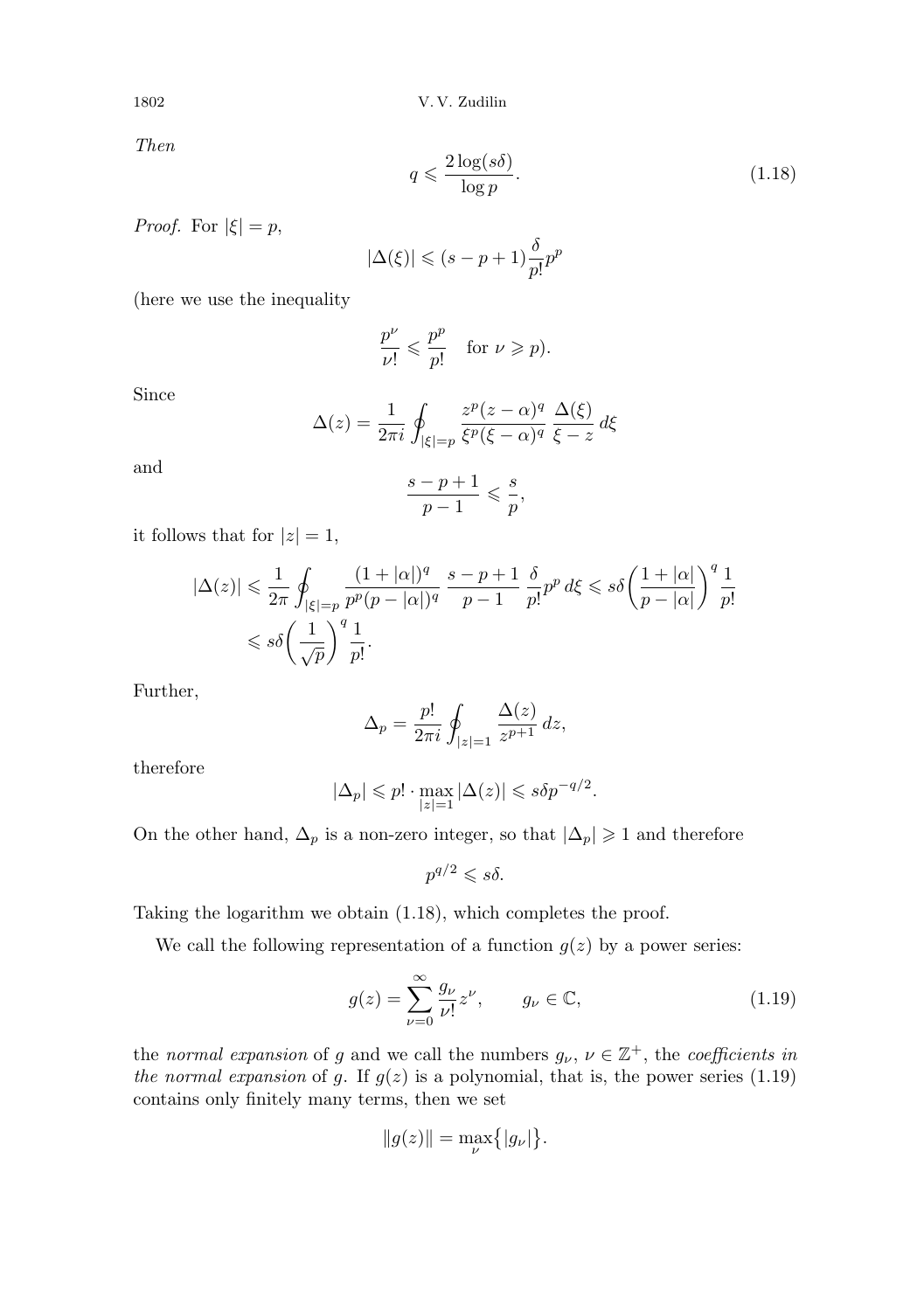1802 V. V. Zudilin

Then

$$
q \leqslant \frac{2\log(s\delta)}{\log p}.\tag{1.18}
$$

*Proof.* For  $|\xi| = p$ ,

$$
|\Delta(\xi)| \leqslant (s - p + 1) \frac{\delta}{p!} p^p
$$

(here we use the inequality

$$
\frac{p^{\nu}}{\nu!} \leqslant \frac{p^p}{p!} \quad \text{for } \nu \geqslant p).
$$

Since

$$
\Delta(z) = \frac{1}{2\pi i} \oint_{|\xi|=p} \frac{z^p (z-\alpha)^q}{\xi^p (\xi-\alpha)^q} \frac{\Delta(\xi)}{\xi-z} d\xi
$$

and

$$
\frac{s-p+1}{p-1} \leqslant \frac{s}{p},
$$

it follows that for  $|z|=1$ ,

$$
|\Delta(z)| \leq \frac{1}{2\pi} \oint_{|\xi|=p} \frac{(1+|\alpha|)^q}{p^p(p-|\alpha|)^q} \frac{s-p+1}{p-1} \frac{\delta}{p!} p^p d\xi \leqslant s\delta \left(\frac{1+|\alpha|}{p-|\alpha|}\right)^q \frac{1}{p!}
$$
  

$$
\leqslant s\delta \left(\frac{1}{\sqrt{p}}\right)^q \frac{1}{p!}.
$$

Further,

$$
\Delta_p = \frac{p!}{2\pi i} \oint_{|z|=1} \frac{\Delta(z)}{z^{p+1}} dz,
$$

therefore

$$
|\Delta_p| \leq p! \cdot \max_{|z|=1} |\Delta(z)| \leq s \delta p^{-q/2}.
$$

On the other hand,  $\Delta_p$  is a non-zero integer, so that  $|\Delta_p| \geq 1$  and therefore

$$
p^{q/2} \leqslant s \delta.
$$

Taking the logarithm we obtain (1.18), which completes the proof.

We call the following representation of a function  $g(z)$  by a power series:

$$
g(z) = \sum_{\nu=0}^{\infty} \frac{g_{\nu}}{\nu!} z^{\nu}, \qquad g_{\nu} \in \mathbb{C}, \tag{1.19}
$$

the normal expansion of g and we call the numbers  $g_{\nu}, \nu \in \mathbb{Z}^+$ , the coefficients in the normal expansion of g. If  $g(z)$  is a polynomial, that is, the power series (1.19) contains only finitely many terms, then we set

$$
||g(z)|| = \max_{\nu} \{|g_{\nu}|\}.
$$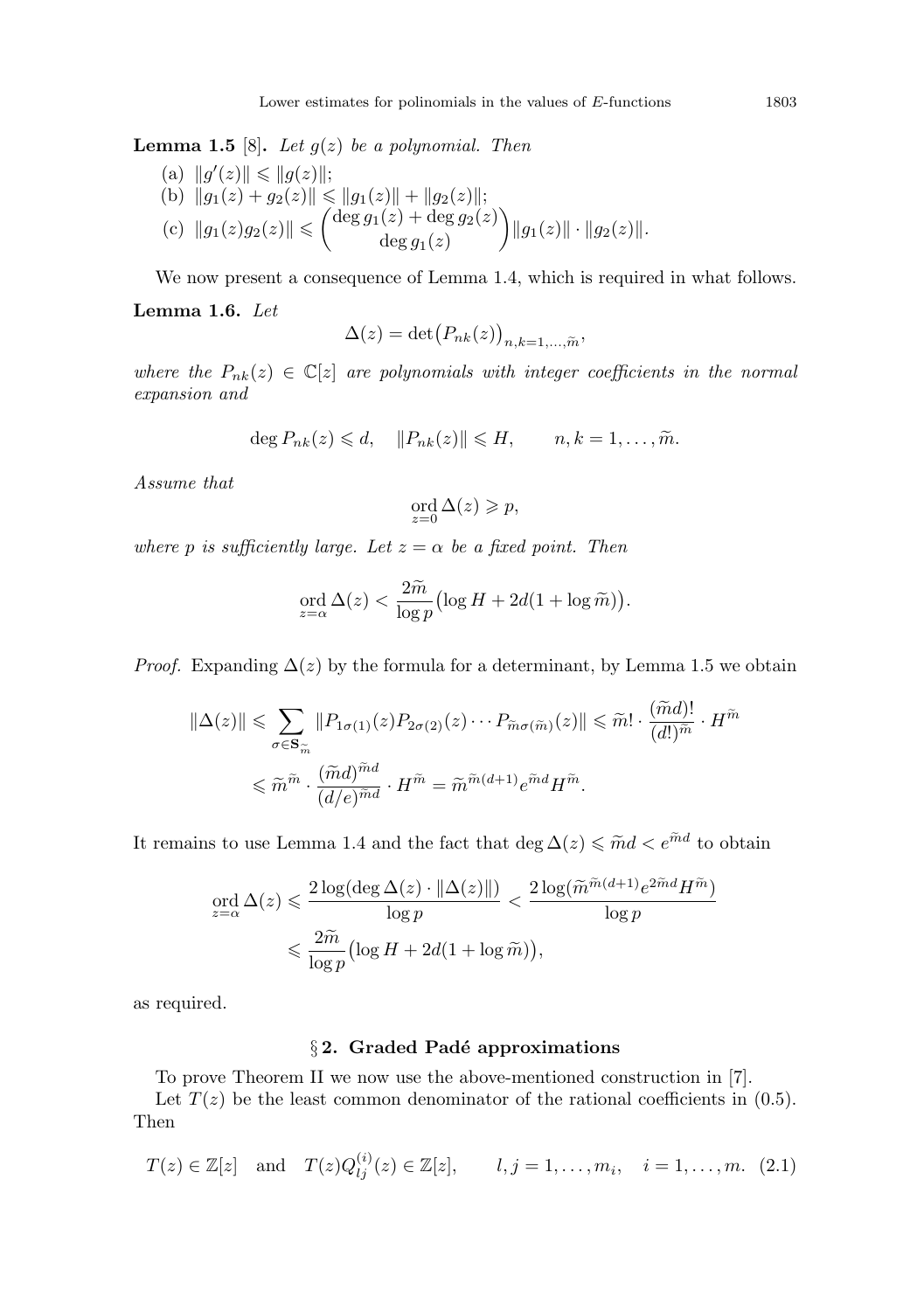**Lemma 1.5** [8]. Let  $q(z)$  be a polynomial. Then

(a) 
$$
||g'(z)|| \le ||g(z)||
$$
;  
\n(b)  $||g_1(z) + g_2(z)|| \le ||g_1(z)|| + ||g_2(z)||$ ;  
\n(c)  $||g_1(z)g_2(z)|| \le \begin{pmatrix} \deg g_1(z) + \deg g_2(z) \\ \deg g_1(z) \end{pmatrix} ||g_1(z)|| \cdot ||g_2(z)||$ .

We now present a consequence of Lemma 1.4, which is required in what follows.

## Lemma 1.6. Let

$$
\Delta(z) = \det(P_{nk}(z))_{n,k=1,\ldots,\widetilde{m}},
$$

where the  $P_{nk}(z) \in \mathbb{C}[z]$  are polynomials with integer coefficients in the normal expansion and

$$
\deg P_{nk}(z) \leq d, \quad ||P_{nk}(z)|| \leq H, \qquad n, k = 1, \ldots, \widetilde{m}.
$$

Assume that

$$
\operatorname*{ord}_{z=0}\Delta(z)\geqslant p,
$$

where p is sufficiently large. Let  $z = \alpha$  be a fixed point. Then

$$
\operatorname{ord}_{z=\alpha} \Delta(z) < \frac{2\widetilde{m}}{\log p} \bigl( \log H + 2d(1 + \log \widetilde{m}) \bigr).
$$

*Proof.* Expanding  $\Delta(z)$  by the formula for a determinant, by Lemma 1.5 we obtain

$$
\|\Delta(z)\| \leq \sum_{\sigma \in \mathbf{S}_{\widetilde{m}}} \|P_{1\sigma(1)}(z)P_{2\sigma(2)}(z)\cdots P_{\widetilde{m}\sigma(\widetilde{m})}(z)\| \leq \widetilde{m}! \cdot \frac{(\widetilde{m}d)!}{(d!)^{\widetilde{m}}} \cdot H^{\widetilde{m}}
$$
  

$$
\leq \widetilde{m}^{\widetilde{m}} \cdot \frac{(\widetilde{m}d)^{\widetilde{m}d}}{(d/e)^{\widetilde{m}d}} \cdot H^{\widetilde{m}} = \widetilde{m}^{\widetilde{m}(d+1)} e^{\widetilde{m}d} H^{\widetilde{m}}.
$$

It remains to use Lemma 1.4 and the fact that  $\deg \Delta(z) \leq \tilde{m}d < e^{\tilde{m}d}$  to obtain

$$
\begin{aligned} \operatorname{ord}_{z=\alpha} \Delta(z) &\leq \frac{2\log(\deg \Delta(z)\cdot\|\Delta(z)\|)}{\log p} < \frac{2\log(\widetilde{m}^{\widetilde{m}(d+1)}e^{2\widetilde{m}d}H^{\widetilde{m}})}{\log p} \\ &\leq \frac{2\widetilde{m}}{\log p}\big(\log H + 2d(1+\log \widetilde{m})\big), \end{aligned}
$$

as required.

## $§ 2.$  Graded Padé approximations

To prove Theorem II we now use the above-mentioned construction in [7].

Let  $T(z)$  be the least common denominator of the rational coefficients in (0.5). Then

$$
T(z) \in \mathbb{Z}[z]
$$
 and  $T(z)Q_{lj}^{(i)}(z) \in \mathbb{Z}[z],$   $l, j = 1,..., m_i, i = 1,..., m.$  (2.1)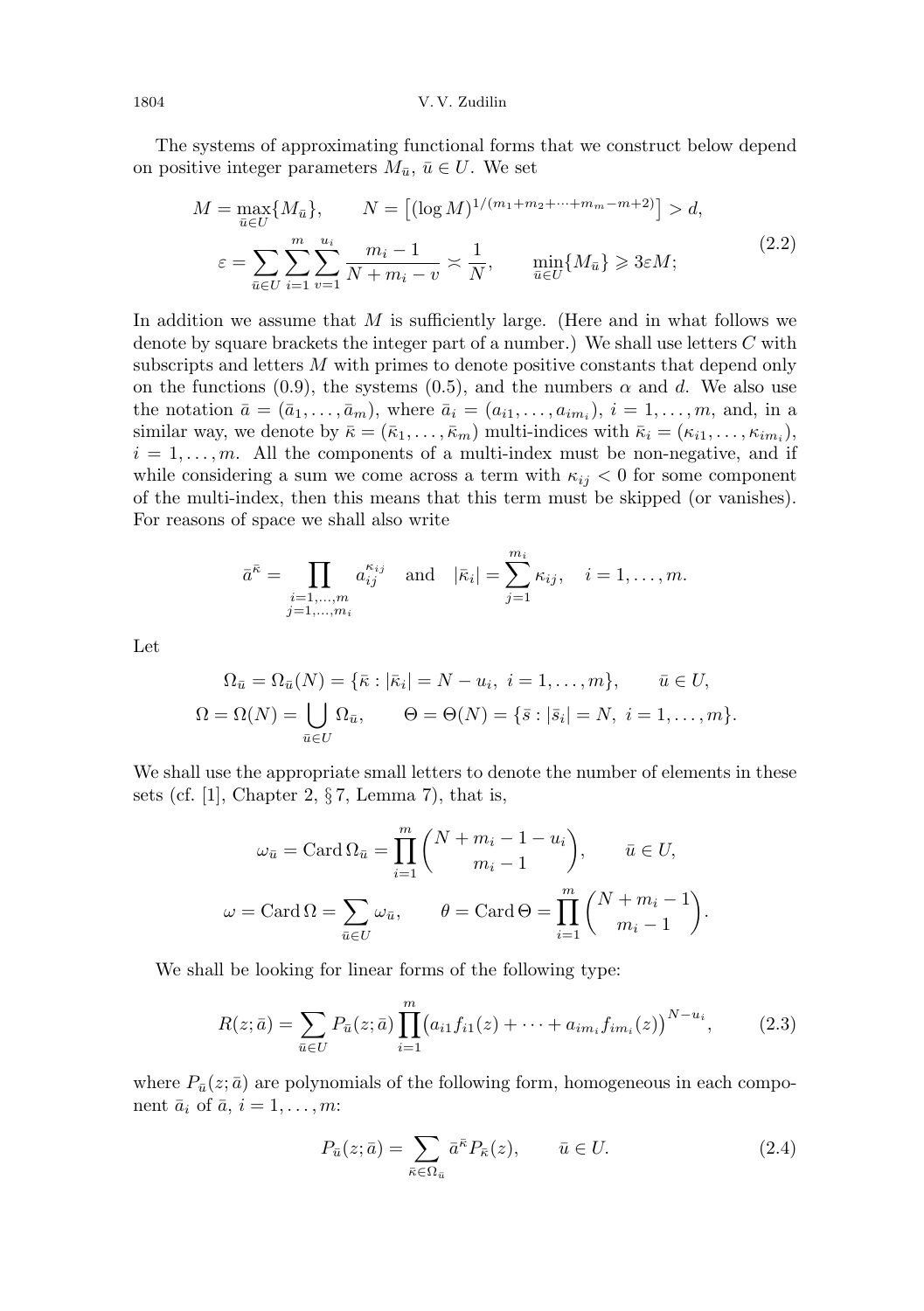The systems of approximating functional forms that we construct below depend on positive integer parameters  $M_{\bar{u}}, \bar{u} \in U$ . We set

$$
M = \max_{\bar{u} \in U} \{M_{\bar{u}}\}, \qquad N = \left[ (\log M)^{1/(m_1 + m_2 + \dots + m_m - m + 2)} \right] > d,
$$
  

$$
\varepsilon = \sum_{\bar{u} \in U} \sum_{i=1}^{m} \sum_{v=1}^{u_i} \frac{m_i - 1}{N + m_i - v} \times \frac{1}{N}, \qquad \min_{\bar{u} \in U} \{M_{\bar{u}}\} \geqslant 3\varepsilon M;
$$
 (2.2)

In addition we assume that  $M$  is sufficiently large. (Here and in what follows we denote by square brackets the integer part of a number.) We shall use letters C with subscripts and letters M with primes to denote positive constants that depend only on the functions (0.9), the systems (0.5), and the numbers  $\alpha$  and d. We also use the notation  $\bar{a} = (\bar{a}_1, \ldots, \bar{a}_m)$ , where  $\bar{a}_i = (a_{i1}, \ldots, a_{im_i}), i = 1, \ldots, m$ , and, in a similar way, we denote by  $\bar{\kappa} = (\bar{\kappa}_1, \ldots, \bar{\kappa}_m)$  multi-indices with  $\bar{\kappa}_i = (\kappa_{i1}, \ldots, \kappa_{im_i}),$  $i = 1, \ldots, m$ . All the components of a multi-index must be non-negative, and if while considering a sum we come across a term with  $\kappa_{ij} < 0$  for some component of the multi-index, then this means that this term must be skipped (or vanishes). For reasons of space we shall also write

$$
\bar{a}^{\bar{\kappa}} = \prod_{\substack{i=1,\ldots,m\\j=1,\ldots,m_i}} a^{\kappa_{ij}}_{ij} \quad \text{and} \quad |\bar{\kappa}_i| = \sum_{j=1}^{m_i} \kappa_{ij}, \quad i = 1,\ldots,m.
$$

Let

$$
\Omega_{\bar{u}} = \Omega_{\bar{u}}(N) = \{ \bar{\kappa} : |\bar{\kappa}_i| = N - u_i, \ i = 1, \dots, m \}, \quad \bar{u} \in U,
$$
  

$$
\Omega = \Omega(N) = \bigcup_{\bar{u} \in U} \Omega_{\bar{u}}, \qquad \Theta = \Theta(N) = \{ \bar{s} : |\bar{s}_i| = N, \ i = 1, \dots, m \}.
$$

We shall use the appropriate small letters to denote the number of elements in these sets (cf. [1], Chapter 2,  $\S 7$ , Lemma 7), that is,

$$
\omega_{\bar{u}} = \text{Card}\,\Omega_{\bar{u}} = \prod_{i=1}^{m} \binom{N + m_i - 1 - u_i}{m_i - 1}, \qquad \bar{u} \in U,
$$

$$
\omega = \text{Card}\,\Omega = \sum_{\bar{u} \in U} \omega_{\bar{u}}, \qquad \theta = \text{Card}\,\Theta = \prod_{i=1}^{m} \binom{N + m_i - 1}{m_i - 1}.
$$

We shall be looking for linear forms of the following type:

$$
R(z; \bar{a}) = \sum_{\bar{u} \in U} P_{\bar{u}}(z; \bar{a}) \prod_{i=1}^{m} (a_{i1} f_{i1}(z) + \dots + a_{im_i} f_{im_i}(z))^{N-u_i}, \qquad (2.3)
$$

where  $P_{\bar{u}}(z; \bar{a})$  are polynomials of the following form, homogeneous in each component  $\bar{a}_i$  of  $\bar{a}$ ,  $i = 1, \ldots, m$ :

$$
P_{\bar{u}}(z;\bar{a}) = \sum_{\bar{\kappa}\in\Omega_{\bar{u}}} \bar{a}^{\bar{\kappa}} P_{\bar{\kappa}}(z), \qquad \bar{u}\in U.
$$
 (2.4)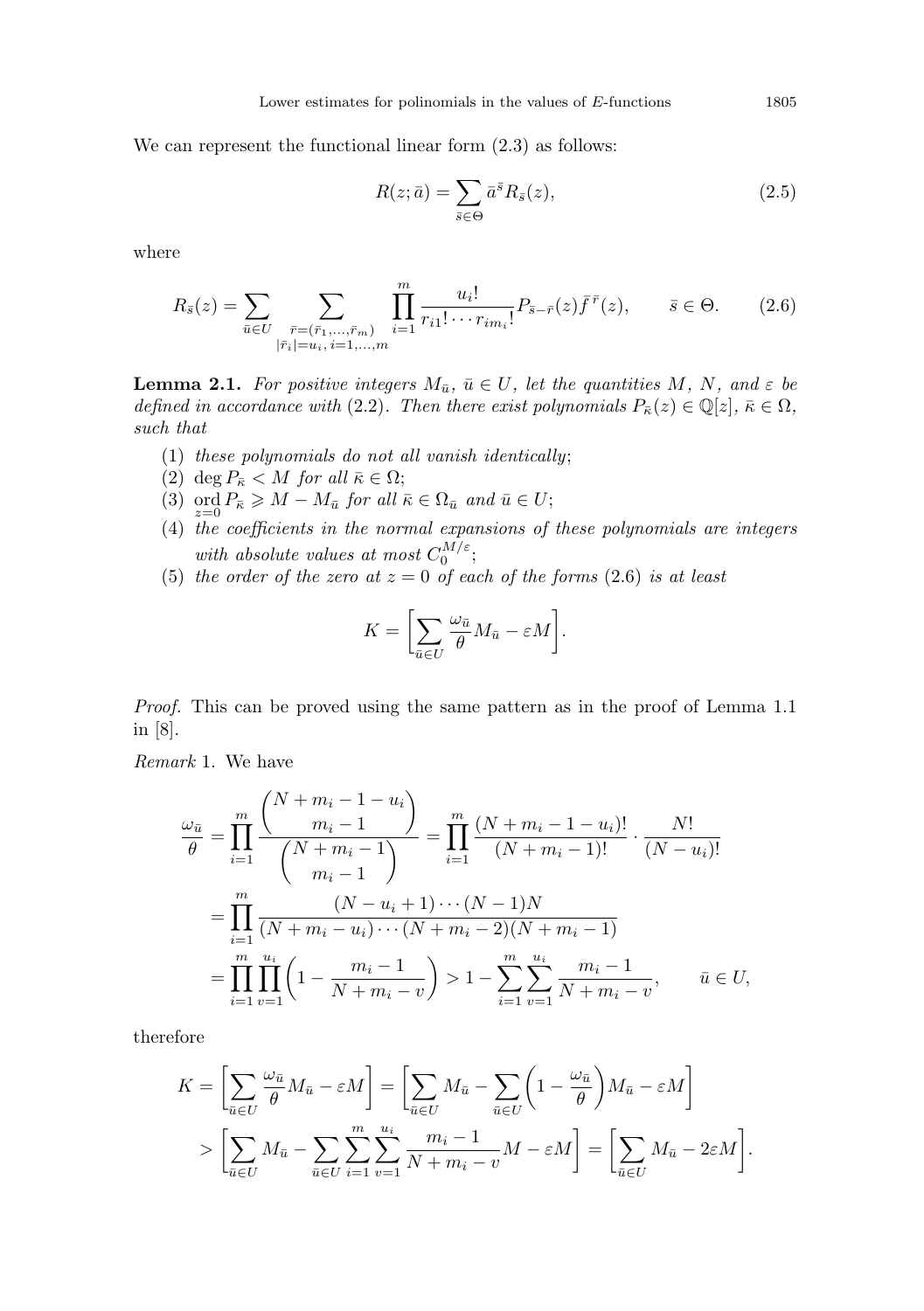We can represent the functional linear form  $(2.3)$  as follows:

$$
R(z; \bar{a}) = \sum_{\bar{s} \in \Theta} \bar{a}^{\bar{s}} R_{\bar{s}}(z), \qquad (2.5)
$$

where

$$
R_{\bar{s}}(z) = \sum_{\bar{u} \in U} \sum_{\substack{\bar{r} = (\bar{r}_1, \dots, \bar{r}_m) \\ |\bar{r}_i| = u_i, i = 1, \dots, m}} \prod_{i=1}^m \frac{u_i!}{r_{i1}! \cdots r_{i m_i}!} P_{\bar{s} - \bar{r}}(z) \bar{f}^{\bar{r}}(z), \qquad \bar{s} \in \Theta.
$$
 (2.6)

**Lemma 2.1.** For positive integers  $M_{\bar{u}}$ ,  $\bar{u} \in U$ , let the quantities M, N, and  $\varepsilon$  be defined in accordance with (2.2). Then there exist polynomials  $P_{\bar{\kappa}}(z) \in \mathbb{Q}[z], \bar{\kappa} \in \Omega$ , such that

- (1) these polynomials do not all vanish identically;
- (2) deg  $P_{\bar{\kappa}} < M$  for all  $\bar{\kappa} \in \Omega$ ;
- (3) ord  $P_{\bar{\kappa}} \geqslant M M_{\bar{u}}$  for all  $\bar{\kappa} \in \Omega_{\bar{u}}$  and  $\bar{u} \in U$ ;
- (4) the coefficients in the normal expansions of these polynomials are integers with absolute values at most  $C_0^{M/\varepsilon}$ ;
- (5) the order of the zero at  $z = 0$  of each of the forms (2.6) is at least

$$
K = \left[\sum_{\bar{u} \in U} \frac{\omega_{\bar{u}}}{\theta} M_{\bar{u}} - \varepsilon M\right].
$$

Proof. This can be proved using the same pattern as in the proof of Lemma 1.1 in [8].

Remark 1. We have

$$
\frac{\omega_{\bar{u}}}{\theta} = \prod_{i=1}^{m} \frac{\binom{N+m_i-1-u_i}{m_i-1}}{\binom{N+m_i-1}{m_i-1}} = \prod_{i=1}^{m} \frac{(N+m_i-1-u_i)!}{(N+m_i-1)!} \cdot \frac{N!}{(N-u_i)!}
$$

$$
= \prod_{i=1}^{m} \frac{(N-u_i+1)\cdots(N-1)N}{(N+m_i-u_i)\cdots(N+m_i-2)(N+m_i-1)}
$$

$$
= \prod_{i=1}^{m} \prod_{v=1}^{u_i} \left(1 - \frac{m_i-1}{N+m_i-v}\right) > 1 - \sum_{i=1}^{m} \sum_{v=1}^{u_i} \frac{m_i-1}{N+m_i-v}, \qquad \bar{u} \in U,
$$

therefore

$$
K = \left[\sum_{\bar{u} \in U} \frac{\omega_{\bar{u}}}{\theta} M_{\bar{u}} - \varepsilon M\right] = \left[\sum_{\bar{u} \in U} M_{\bar{u}} - \sum_{\bar{u} \in U} \left(1 - \frac{\omega_{\bar{u}}}{\theta}\right) M_{\bar{u}} - \varepsilon M\right]
$$
  
> 
$$
\left[\sum_{\bar{u} \in U} M_{\bar{u}} - \sum_{\bar{u} \in U} \sum_{i=1}^{m} \sum_{v=1}^{u_i} \frac{m_i - 1}{N + m_i - v} M - \varepsilon M\right] = \left[\sum_{\bar{u} \in U} M_{\bar{u}} - 2\varepsilon M\right].
$$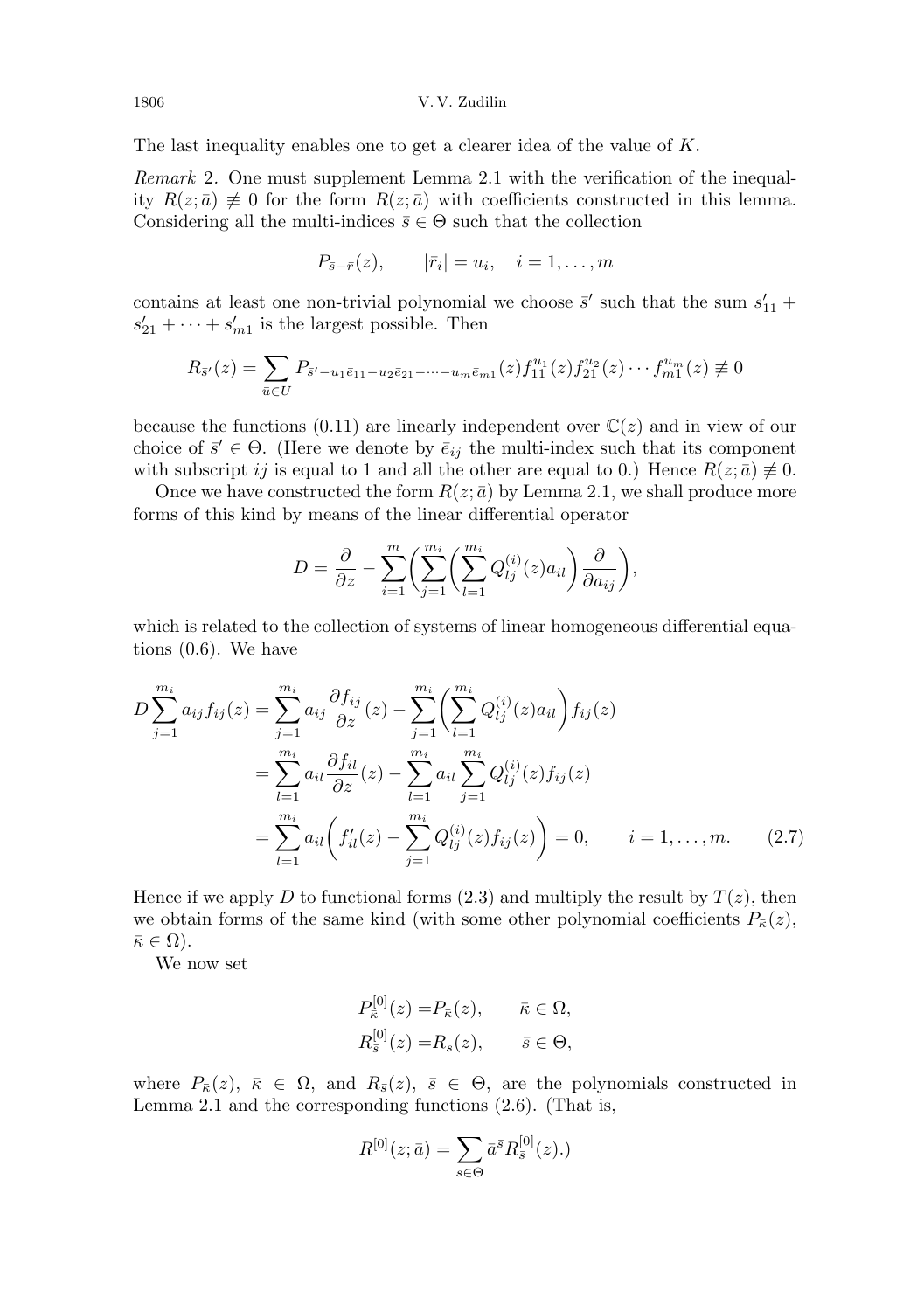The last inequality enables one to get a clearer idea of the value of K.

Remark 2. One must supplement Lemma 2.1 with the verification of the inequality  $R(z; \bar{a}) \neq 0$  for the form  $R(z; \bar{a})$  with coefficients constructed in this lemma. Considering all the multi-indices  $\bar{s} \in \Theta$  such that the collection

$$
P_{\bar{s}-\bar{r}}(z), \qquad |\bar{r}_i| = u_i, \quad i = 1, \ldots, m
$$

contains at least one non-trivial polynomial we choose  $\bar{s}'$  such that the sum  $s'_{11}$  +  $s'_{21} + \cdots + s'_{m1}$  is the largest possible. Then

$$
R_{\bar{s}'}(z) = \sum_{\bar{u}\in U} P_{\bar{s}'-u_1\bar{e}_{11}-u_2\bar{e}_{21}-\cdots-u_m\bar{e}_{m1}}(z) f_{11}^{u_1}(z) f_{21}^{u_2}(z)\cdots f_{m1}^{u_m}(z) \not\equiv 0
$$

because the functions (0.11) are linearly independent over  $\mathbb{C}(z)$  and in view of our choice of  $\bar{s}' \in \Theta$ . (Here we denote by  $\bar{e}_{ij}$  the multi-index such that its component with subscript ij is equal to 1 and all the other are equal to 0.) Hence  $R(z; \bar{a}) \neq 0$ .

Once we have constructed the form  $R(z; \bar{a})$  by Lemma 2.1, we shall produce more forms of this kind by means of the linear differential operator

$$
D = \frac{\partial}{\partial z} - \sum_{i=1}^{m} \left( \sum_{j=1}^{m_i} \left( \sum_{l=1}^{m_i} Q_{lj}^{(i)}(z) a_{il} \right) \frac{\partial}{\partial a_{ij}} \right),
$$

which is related to the collection of systems of linear homogeneous differential equations (0.6). We have

$$
D\sum_{j=1}^{m_i} a_{ij} f_{ij}(z) = \sum_{j=1}^{m_i} a_{ij} \frac{\partial f_{ij}}{\partial z}(z) - \sum_{j=1}^{m_i} \left( \sum_{l=1}^{m_i} Q_{lj}^{(i)}(z) a_{il} \right) f_{ij}(z)
$$
  

$$
= \sum_{l=1}^{m_i} a_{il} \frac{\partial f_{il}}{\partial z}(z) - \sum_{l=1}^{m_i} a_{il} \sum_{j=1}^{m_i} Q_{lj}^{(i)}(z) f_{ij}(z)
$$
  

$$
= \sum_{l=1}^{m_i} a_{il} \left( f'_{il}(z) - \sum_{j=1}^{m_i} Q_{lj}^{(i)}(z) f_{ij}(z) \right) = 0, \qquad i = 1, ..., m. \tag{2.7}
$$

Hence if we apply D to functional forms  $(2.3)$  and multiply the result by  $T(z)$ , then we obtain forms of the same kind (with some other polynomial coefficients  $P_{\overline{k}}(z)$ ,  $\bar{\kappa} \in \Omega$ ).

We now set

$$
P_{\bar{\kappa}}^{[0]}(z) = P_{\bar{\kappa}}(z), \qquad \bar{\kappa} \in \Omega,
$$
  

$$
R_{\bar{s}}^{[0]}(z) = R_{\bar{s}}(z), \qquad \bar{s} \in \Theta,
$$

where  $P_{\overline{\kappa}}(z)$ ,  $\overline{\kappa} \in \Omega$ , and  $R_{\overline{s}}(z)$ ,  $\overline{s} \in \Theta$ , are the polynomials constructed in Lemma 2.1 and the corresponding functions (2.6). (That is,

$$
R^{[0]}(z;\bar{a}) = \sum_{\bar{s}\in\Theta} \bar{a}^{\bar{s}} R_{\bar{s}}^{[0]}(z).
$$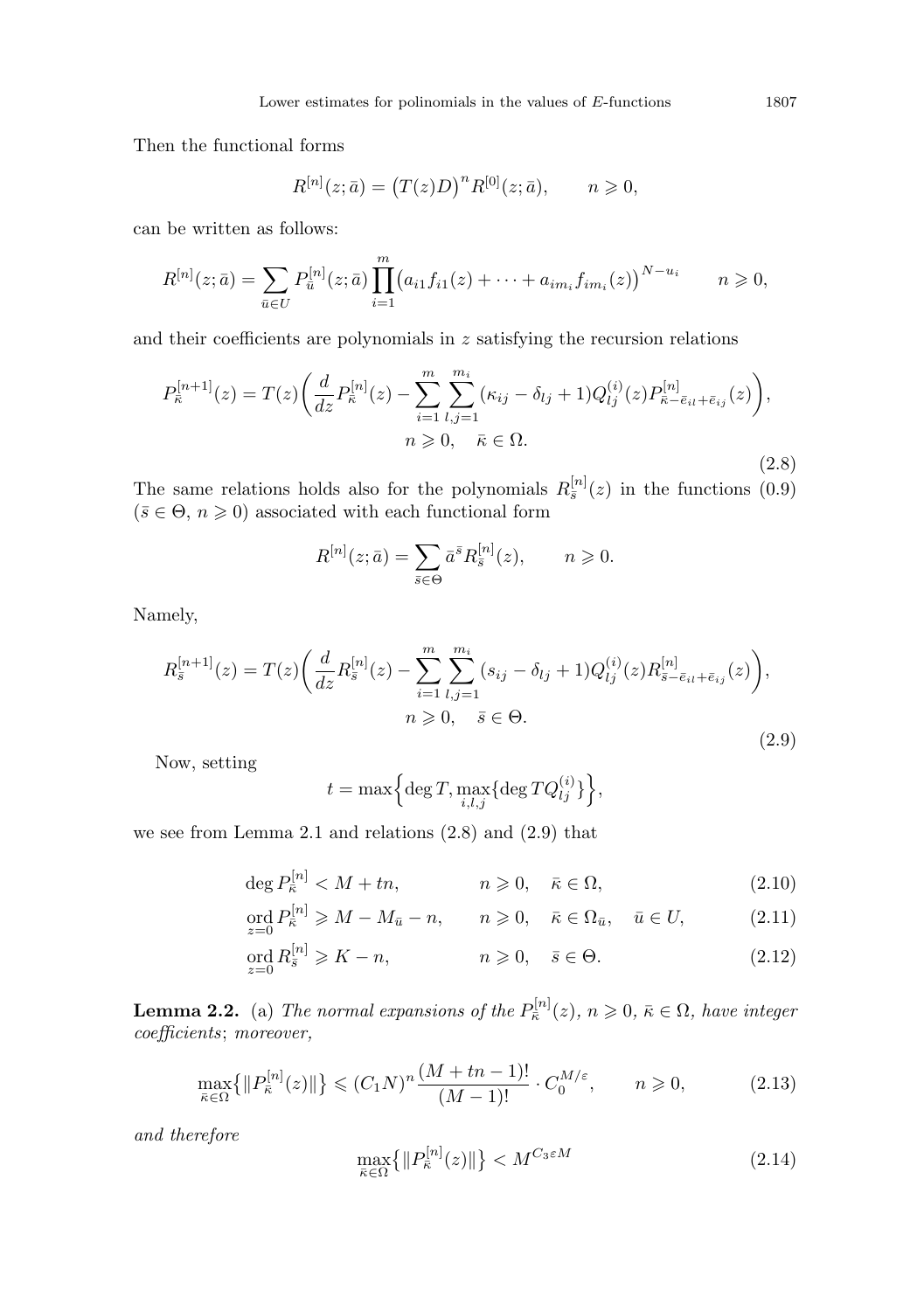Then the functional forms

$$
R^{[n]}(z; \bar{a}) = (T(z)D)^n R^{[0]}(z; \bar{a}), \qquad n \geq 0,
$$

can be written as follows:

$$
R^{[n]}(z; \bar{a}) = \sum_{\bar{u} \in U} P_{\bar{u}}^{[n]}(z; \bar{a}) \prod_{i=1}^{m} (a_{i1} f_{i1}(z) + \dots + a_{im_i} f_{im_i}(z))^{N-u_i} \qquad n \geqslant 0,
$$

and their coefficients are polynomials in  $z$  satisfying the recursion relations

$$
P_{\bar{\kappa}}^{[n+1]}(z) = T(z) \left( \frac{d}{dz} P_{\bar{\kappa}}^{[n]}(z) - \sum_{i=1}^{m} \sum_{l,j=1}^{m_i} (\kappa_{ij} - \delta_{lj} + 1) Q_{lj}^{(i)}(z) P_{\bar{\kappa} - \bar{e}_{il} + \bar{e}_{ij}}^{[n]}(z) \right),
$$
  
\n
$$
n \ge 0, \quad \bar{\kappa} \in \Omega.
$$
\n(2.8)

The same relations holds also for the polynomials  $R_{\bar{s}}^{[n]}(z)$  in the functions (0.9)  $(\bar{s} \in \Theta, n \geq 0)$  associated with each functional form

$$
R^{[n]}(z; \bar{a}) = \sum_{\bar{s} \in \Theta} \bar{a}^{\bar{s}} R_{\bar{s}}^{[n]}(z), \qquad n \geqslant 0.
$$

Namely,

$$
R_{\bar{s}}^{[n+1]}(z) = T(z) \left( \frac{d}{dz} R_{\bar{s}}^{[n]}(z) - \sum_{i=1}^{m} \sum_{l,j=1}^{m_i} (s_{ij} - \delta_{lj} + 1) Q_{lj}^{(i)}(z) R_{\bar{s} - \bar{e}_{il} + \bar{e}_{ij}}^{[n]}(z) \right),
$$
  
\n
$$
n \ge 0, \quad \bar{s} \in \Theta.
$$
\n(2.9)

Now, setting

$$
t = \max\Bigl\{\deg T, \max_{i,l,j}\{\deg TQ_{lj}^{(i)}\}\Bigr\},
$$

we see from Lemma 2.1 and relations (2.8) and (2.9) that

$$
\deg P_{\bar{\kappa}}^{[n]} < M + tn, \qquad n \geqslant 0, \quad \bar{\kappa} \in \Omega,\tag{2.10}
$$

$$
\operatorname{ord}_{z=0} P_{\bar{\kappa}}^{[n]} \geqslant M - M_{\bar{u}} - n, \qquad n \geqslant 0, \quad \bar{\kappa} \in \Omega_{\bar{u}}, \quad \bar{u} \in U,\tag{2.11}
$$

$$
\operatorname{ord}_{z=0} R_{\bar{s}}^{[n]} \geqslant K - n, \qquad n \geqslant 0, \quad \bar{s} \in \Theta. \tag{2.12}
$$

**Lemma 2.2.** (a) The normal expansions of the  $P_{\bar{\kappa}}^{[n]}(z)$ ,  $n \geqslant 0$ ,  $\bar{\kappa} \in \Omega$ , have integer coefficients; moreover,

$$
\max_{\bar{\kappa}\in\Omega} \{ \|P_{\bar{\kappa}}^{[n]}(z)\| \} \le (C_1 N)^n \frac{(M + tn - 1)!}{(M - 1)!} \cdot C_0^{M/\varepsilon}, \qquad n \ge 0,
$$
\n(2.13)

and therefore

$$
\max_{\bar{\kappa}\in\Omega} \left\{ \|P_{\bar{\kappa}}^{[n]}(z)\| \right\} < M^{C_3\varepsilon M} \tag{2.14}
$$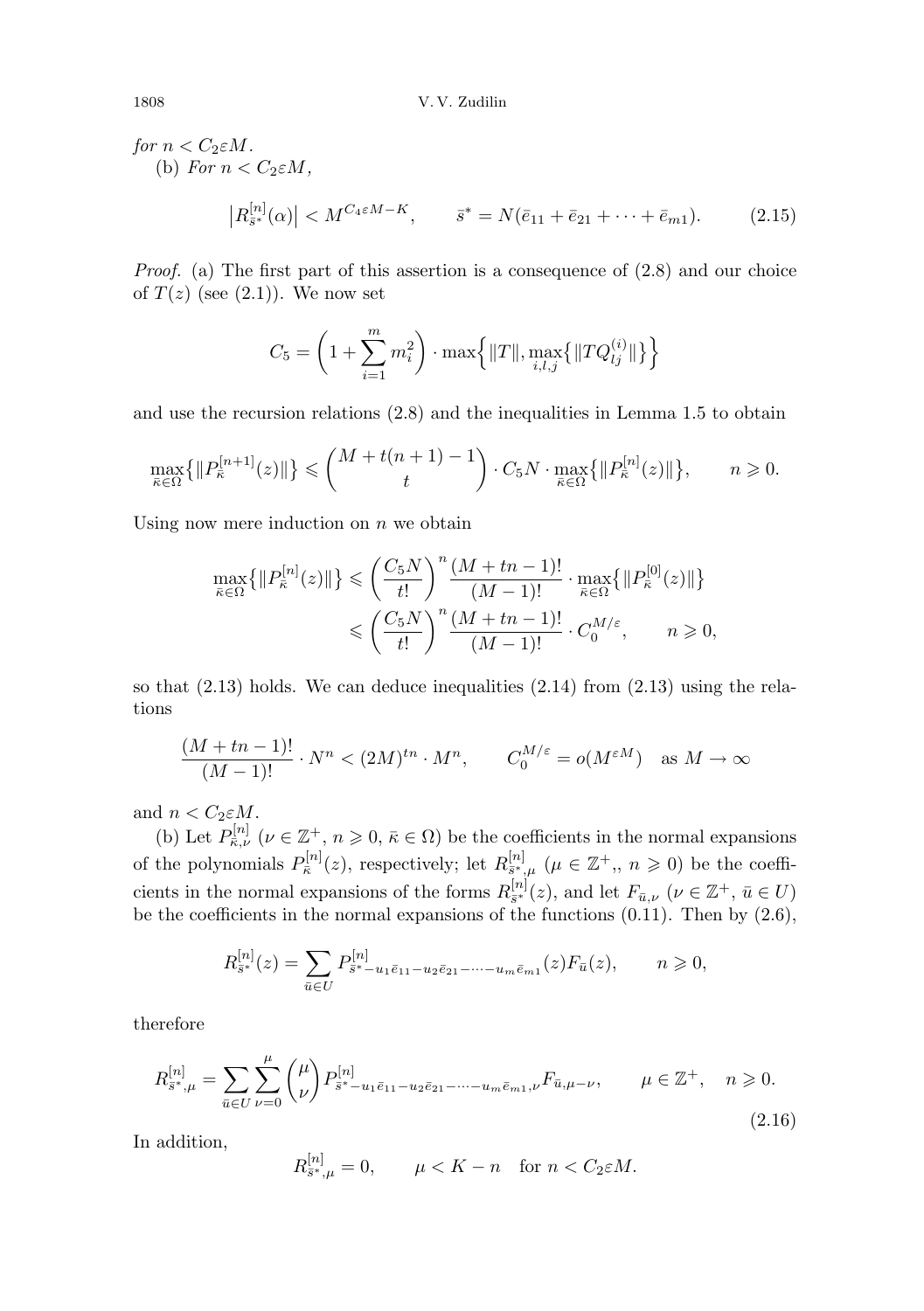for  $n < C_2 \varepsilon M$ . (b) For  $n < C_2 \varepsilon M$ ,  $|R_{\bar{s}^*}^{[n]}(\alpha)| < M^{C_4 \varepsilon M - K}, \qquad \bar{s}^* = N(\bar{e}_{11} + \bar{e}_{21} + \dots + \bar{e}_{m1}).$  (2.15)

Proof. (a) The first part of this assertion is a consequence of (2.8) and our choice of  $T(z)$  (see  $(2.1)$ ). We now set

$$
C_5 = \left(1 + \sum_{i=1}^{m} m_i^2\right) \cdot \max\left\{||T||, \max_{i,l,j}\left\{||TQ_{lj}^{(i)}||\right\}\right\}
$$

and use the recursion relations (2.8) and the inequalities in Lemma 1.5 to obtain

$$
\max_{\bar{\kappa}\in\Omega}\left\{\|P_{\bar{\kappa}}^{[n+1]}(z)\|\right\} \leqslant \binom{M+t(n+1)-1}{t}\cdot C_5N\cdot \max_{\bar{\kappa}\in\Omega}\left\{\|P_{\bar{\kappa}}^{[n]}(z)\|\right\},\qquad n\geqslant 0.
$$

Using now mere induction on  $n$  we obtain

$$
\max_{\bar{\kappa}\in\Omega}\left\{\|P_{\bar{\kappa}}^{[n]}(z)\|\right\} \leqslant \left(\frac{C_5N}{t!}\right)^n \frac{(M+tn-1)!}{(M-1)!}\cdot \max_{\bar{\kappa}\in\Omega}\left\{\|P_{\bar{\kappa}}^{[0]}(z)\|\right\}
$$

$$
\leqslant \left(\frac{C_5N}{t!}\right)^n \frac{(M+tn-1)!}{(M-1)!}\cdot C_0^{M/\varepsilon}, \qquad n\geqslant 0,
$$

so that  $(2.13)$  holds. We can deduce inequalities  $(2.14)$  from  $(2.13)$  using the relations

$$
\frac{(M+tn-1)!}{(M-1)!} \cdot N^n < (2M)^{tn} \cdot M^n, \qquad C_0^{M/\varepsilon} = o(M^{\varepsilon M}) \quad \text{as } M \to \infty
$$

and  $n < C_2 \varepsilon M$ .

(b) Let  $P_{\bar{\kappa},\nu}^{[n]}$  ( $\nu \in \mathbb{Z}^+$ ,  $n \geqslant 0$ ,  $\bar{\kappa} \in \Omega$ ) be the coefficients in the normal expansions of the polynomials  $P_{\bar{\kappa}}^{[n]}(z)$ , respectively; let  $R_{\bar{s}^*,\mu}^{[n]}(\mu \in \mathbb{Z}^+, n \geq 0)$  be the coefficients in the normal expansions of the forms  $R_{\bar{s}^*}^{[n]}(z)$ , and let  $F_{\bar{u},\nu}$   $(\nu \in \mathbb{Z}^+, \bar{u} \in U)$ be the coefficients in the normal expansions of the functions  $(0.11)$ . Then by  $(2.6)$ ,

$$
R_{\bar{s}^*}^{[n]}(z) = \sum_{\bar{u} \in U} P_{\bar{s}^* - u_1 \bar{e}_{11} - u_2 \bar{e}_{21} - \dots - u_m \bar{e}_{m1}}^{[n]}(z) F_{\bar{u}}(z), \qquad n \geq 0,
$$

therefore

$$
R_{\bar{s}^*,\mu}^{[n]} = \sum_{\bar{u}\in U} \sum_{\nu=0}^{\mu} \binom{\mu}{\nu} P_{\bar{s}^*-u_1\bar{e}_{11}-u_2\bar{e}_{21}-\cdots-u_m\bar{e}_{m1},\nu}^{[n]} F_{\bar{u},\mu-\nu}, \qquad \mu \in \mathbb{Z}^+, \quad n \geq 0.
$$
\n(2.16)

In addition,

$$
R_{\bar{s}^*,\mu}^{[n]} = 0, \qquad \mu < K - n \quad \text{for } n < C_2 \varepsilon M.
$$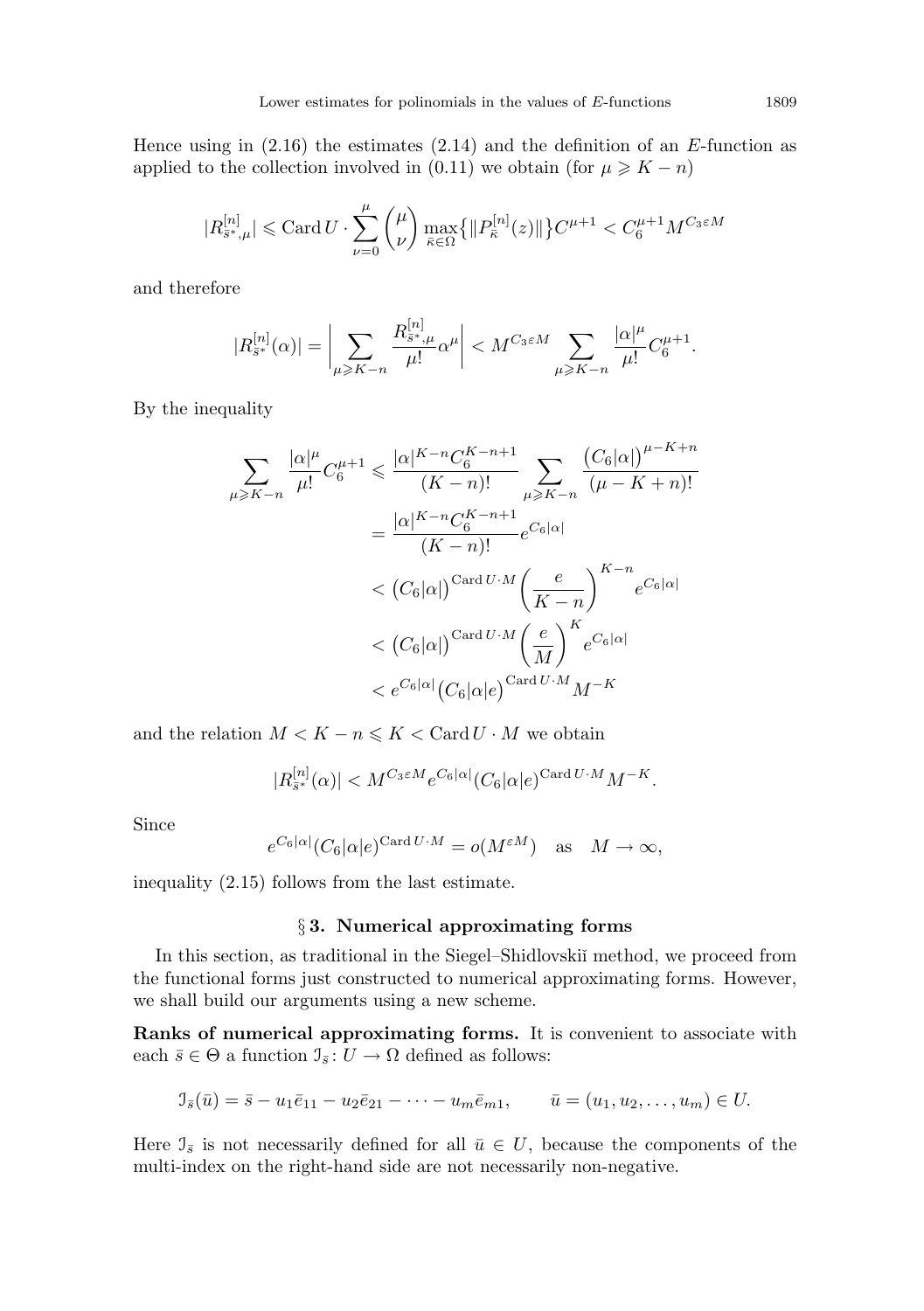Hence using in  $(2.16)$  the estimates  $(2.14)$  and the definition of an E-function as applied to the collection involved in (0.11) we obtain (for  $\mu \geqslant K - n$ )

$$
|R_{\bar{s}^*, \mu}^{[n]}| \leqslant \text{Card}\,U \cdot \sum_{\nu = 0}^{\mu} \binom{\mu}{\nu} \max_{\bar{\kappa} \in \Omega} \bigl\{ \| P_{\bar{\kappa}}^{[n]}(z) \| \bigr\} C^{\mu + 1} < C_6^{\mu + 1} M^{C_3 \varepsilon M}
$$

and therefore

$$
|R_{\bar{s}^*}^{[n]}(\alpha)| = \bigg|\sum_{\mu \geq K-n} \frac{R_{\bar{s}^*,\mu}^{[n]}}{\mu!} \alpha^{\mu} \bigg| < M^{C_3 \in M} \sum_{\mu \geq K-n} \frac{|\alpha|^{\mu}}{\mu!} C_6^{\mu+1}.
$$

By the inequality

$$
\sum_{\mu \geqslant K-n} \frac{|\alpha|^\mu}{\mu!} C_6^{\mu+1} \leqslant \frac{|\alpha|^{K-n} C_6^{K-n+1}}{(K-n)!} \sum_{\mu \geqslant K-n} \frac{\left(C_6|\alpha|\right)^{\mu-K+n}}{(\mu - K+n)!}
$$
\n
$$
= \frac{|\alpha|^{K-n} C_6^{K-n+1}}{(K-n)!} e^{C_6|\alpha|}
$$
\n
$$
< \left(C_6|\alpha|\right)^{\text{Card }U \cdot M} \left(\frac{e}{K-n}\right)^{K-n} e^{C_6|\alpha|}
$$
\n
$$
< \left(C_6|\alpha|\right)^{\text{Card }U \cdot M} \left(\frac{e}{M}\right)^K e^{C_6|\alpha|}
$$
\n
$$
< e^{C_6|\alpha|} \left(C_6|\alpha|e\right)^{\text{Card }U \cdot M} M^{-K}
$$

and the relation  $M < K - n \leq K < \text{Card } U \cdot M$  we obtain

$$
|R^{[n]}_{\bar{s}^*}(\alpha)|
$$

Since

$$
e^{C_6|\alpha|} (C_6|\alpha|e)^{\text{Card }U \cdot M} = o(M^{\varepsilon M})
$$
 as  $M \to \infty$ ,

inequality (2.15) follows from the last estimate.

#### § 3. Numerical approximating forms

In this section, as traditional in the Siegel–Shidlovskiı̆ method, we proceed from the functional forms just constructed to numerical approximating forms. However, we shall build our arguments using a new scheme.

Ranks of numerical approximating forms. It is convenient to associate with each  $\bar{s} \in \Theta$  a function  $\mathcal{I}_{\bar{s}} : U \to \Omega$  defined as follows:

$$
\mathcal{I}_{\bar{s}}(\bar{u}) = \bar{s} - u_1 \bar{e}_{11} - u_2 \bar{e}_{21} - \dots - u_m \bar{e}_{m1}, \qquad \bar{u} = (u_1, u_2, \dots, u_m) \in U.
$$

Here  $\mathcal{I}_{\bar{s}}$  is not necessarily defined for all  $\bar{u} \in U$ , because the components of the multi-index on the right-hand side are not necessarily non-negative.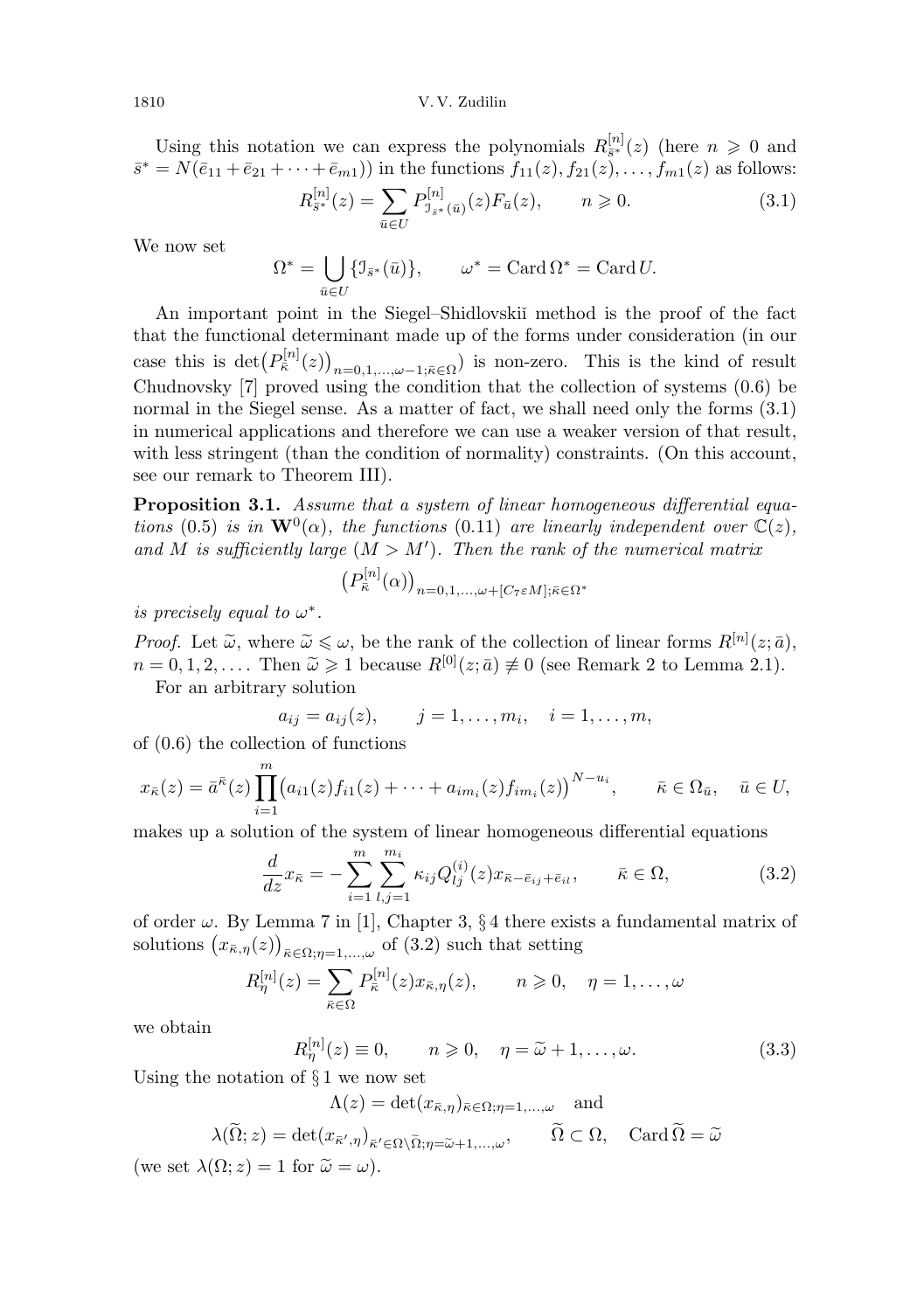Using this notation we can express the polynomials  $R_{\bar{s}^*}^{[n]}(z)$  (here  $n \geq 0$  and  $\bar{s}^* = N(\bar{e}_{11} + \bar{e}_{21} + \cdots + \bar{e}_{m1})$  in the functions  $f_{11}(z), f_{21}(z), \ldots, f_{m1}(z)$  as follows:

$$
R_{\bar{s}^*}^{[n]}(z) = \sum_{\bar{u} \in U} P_{\mathcal{I}_{\bar{s}^*}(\bar{u})}^{[n]}(z) F_{\bar{u}}(z), \qquad n \geq 0.
$$
 (3.1)

We now set

$$
\Omega^* = \bigcup_{\bar{u} \in U} \{ \mathcal{I}_{\bar{s}^*}(\bar{u}) \}, \qquad \omega^* = \text{Card } \Omega^* = \text{Card } U.
$$

An important point in the Siegel–Shidlovskiˇı method is the proof of the fact that the functional determinant made up of the forms under consideration (in our case this is  $\det(P_{\bar{\kappa}}^{[n]}(z))_{n=0,1,\ldots,\omega-1;\bar{\kappa}\in\Omega}$  is non-zero. This is the kind of result Chudnovsky [7] proved using the condition that the collection of systems (0.6) be normal in the Siegel sense. As a matter of fact, we shall need only the forms  $(3.1)$ in numerical applications and therefore we can use a weaker version of that result, with less stringent (than the condition of normality) constraints. (On this account, see our remark to Theorem III).

Proposition 3.1. Assume that a system of linear homogeneous differential equations (0.5) is in  $\mathbf{W}^{0}(\alpha)$ , the functions (0.11) are linearly independent over  $\mathbb{C}(z)$ , and M is sufficiently large  $(M > M')$ . Then the rank of the numerical matrix

$$
\left(P_{\bar{\kappa}}^{[n]}(\alpha)\right)_{n=0,1,\ldots,\omega+[C_7\varepsilon M];\bar{\kappa}\in\Omega^*}
$$

is precisely equal to  $\omega^*$ .

Proof. Let  $\tilde{\omega}$ , where  $\tilde{\omega} \leq \omega$ , be the rank of the collection of linear forms  $R^{[n]}(z;\bar{a})$ ,<br>  $n = 0, 1, 2$ , Then  $\tilde{\omega} > 1$  because  $R^{[0]}(z;\bar{a}) \neq 0$  (see Bomark 2 to Lamma 2.1).  $n = 0, 1, 2, \ldots$ . Then  $\tilde{\omega} \geq 1$  because  $R^{[0]}(z; \bar{a}) \not\equiv 0$  (see Remark 2 to Lemma 2.1).

For an arbitrary solution

$$
a_{ij} = a_{ij}(z),
$$
  $j = 1,...,m_i,$   $i = 1,...,m,$ 

of (0.6) the collection of functions

$$
x_{\bar{\kappa}}(z) = \bar{a}^{\bar{\kappa}}(z) \prod_{i=1}^{m} (a_{i1}(z) f_{i1}(z) + \cdots + a_{im_i}(z) f_{im_i}(z))^{N-u_i}, \qquad \bar{\kappa} \in \Omega_{\bar{u}}, \quad \bar{u} \in U,
$$

makes up a solution of the system of linear homogeneous differential equations

$$
\frac{d}{dz}x_{\bar{\kappa}} = -\sum_{i=1}^{m} \sum_{l,j=1}^{m_i} \kappa_{ij} Q_{lj}^{(i)}(z) x_{\bar{\kappa} - \bar{e}_{ij} + \bar{e}_{il}}, \qquad \bar{\kappa} \in \Omega,
$$
\n(3.2)

of order  $\omega$ . By Lemma 7 in [1], Chapter 3, § 4 there exists a fundamental matrix of solutions  $(x_{\bar{\kappa},\eta}(z))_{\bar{\kappa}\in\Omega;\eta=1,\dots,\omega}$  of  $(3.2)$  such that setting

$$
R_{\eta}^{[n]}(z) = \sum_{\bar{\kappa} \in \Omega} P_{\bar{\kappa}}^{[n]}(z) x_{\bar{\kappa}, \eta}(z), \qquad n \geqslant 0, \quad \eta = 1, \dots, \omega
$$

we obtain

$$
R_{\eta}^{[n]}(z) \equiv 0, \qquad n \geqslant 0, \quad \eta = \tilde{\omega} + 1, \dots, \omega. \tag{3.3}
$$

Using the notation of  $\S 1$  we now set

$$
\Lambda(z) = \det(x_{\bar{\kappa},\eta})_{\bar{\kappa} \in \Omega; \eta = 1,\dots,\omega} \quad \text{and}
$$

$$
\lambda(\widetilde{\Omega}; z) = \det(x_{\overline{\kappa}', \eta})_{\overline{\kappa}' \in \Omega \setminus \widetilde{\Omega}; \eta = \widetilde{\omega} + 1, ..., \omega}, \qquad \widetilde{\Omega} \subset \Omega, \quad \text{Card } \widetilde{\Omega} = \widetilde{\omega}
$$

(we set  $\lambda(\Omega; z) = 1$  for  $\tilde{\omega} = \omega$ ).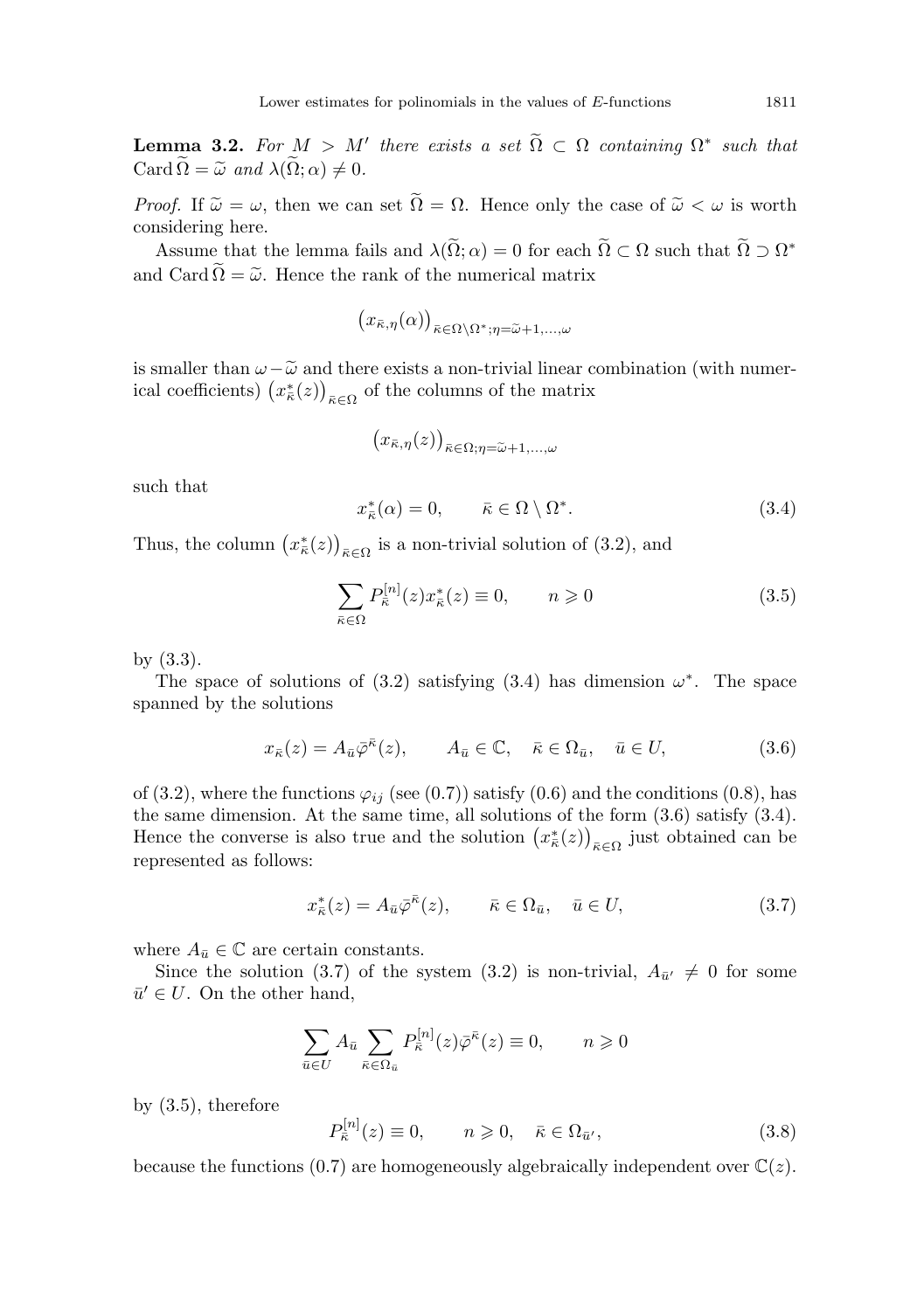**Lemma 3.2.** For  $M > M'$  there exists a set  $\widetilde{\Omega} \subset \Omega$  containing  $\Omega^*$  such that Card  $\widetilde{\Omega} = \widetilde{\omega}$  and  $\lambda(\widetilde{\Omega}; \alpha) \neq 0$ .

*Proof.* If  $\tilde{\omega} = \omega$ , then we can set  $\tilde{\Omega} = \Omega$ . Hence only the case of  $\tilde{\omega} < \omega$  is worth considering here.

Assume that the lemma fails and  $\lambda(\tilde{\Omega}; \alpha) = 0$  for each  $\tilde{\Omega} \subset \Omega$  such that  $\tilde{\Omega} \supset \Omega^*$ and Card  $\Omega = \tilde{\omega}$ . Hence the rank of the numerical matrix

$$
(x_{\bar{\kappa},\eta}(\alpha))_{\bar{\kappa}\in\Omega\setminus\Omega^*;\eta=\widetilde{\omega}+1,\ldots,\omega}
$$

is smaller than  $\omega-\tilde{\omega}$  and there exists a non-trivial linear combination (with numerical coefficients)  $(x_{\bar{\kappa}}^*(z))_{\bar{\kappa} \in \Omega}$  of the columns of the matrix

$$
(x_{\bar{\kappa},\eta}(z))_{\bar{\kappa}\in\Omega;\eta=\widetilde{\omega}+1,\ldots,\omega}
$$

such that

$$
x_{\bar{\kappa}}^*(\alpha) = 0, \qquad \bar{\kappa} \in \Omega \setminus \Omega^*.
$$
 (3.4)

Thus, the column  $(x_{\bar{\kappa}}^*(z))_{\bar{\kappa} \in \Omega}$  is a non-trivial solution of (3.2), and

$$
\sum_{\bar{\kappa}\in\Omega}P_{\bar{\kappa}}^{[n]}(z)x_{\bar{\kappa}}^{*}(z)\equiv 0, \qquad n\geqslant 0 \tag{3.5}
$$

by (3.3).

The space of solutions of (3.2) satisfying (3.4) has dimension  $\omega^*$ . The space spanned by the solutions

$$
x_{\bar{\kappa}}(z) = A_{\bar{u}}\bar{\varphi}^{\bar{\kappa}}(z), \qquad A_{\bar{u}} \in \mathbb{C}, \quad \bar{\kappa} \in \Omega_{\bar{u}}, \quad \bar{u} \in U,
$$
\n(3.6)

of (3.2), where the functions  $\varphi_{ij}$  (see (0.7)) satisfy (0.6) and the conditions (0.8), has the same dimension. At the same time, all solutions of the form (3.6) satisfy (3.4). Hence the converse is also true and the solution  $(x_{\bar{\kappa}}^*(z))_{\bar{\kappa} \in \Omega}$  just obtained can be represented as follows:

$$
x_{\bar{\kappa}}^*(z) = A_{\bar{u}}\bar{\varphi}^{\bar{\kappa}}(z), \qquad \bar{\kappa} \in \Omega_{\bar{u}}, \quad \bar{u} \in U,
$$
\n(3.7)

where  $A_{\bar{u}} \in \mathbb{C}$  are certain constants.

Since the solution (3.7) of the system (3.2) is non-trivial,  $A_{\bar{u}'} \neq 0$  for some  $\bar{u}' \in U$ . On the other hand,

$$
\sum_{\bar{u}\in U} A_{\bar{u}} \sum_{\bar{\kappa}\in\Omega_{\bar{u}}} P_{\bar{\kappa}}^{[n]}(z) \bar{\varphi}^{\bar{\kappa}}(z) \equiv 0, \qquad n \geqslant 0
$$

by (3.5), therefore

$$
P_{\bar{\kappa}}^{[n]}(z) \equiv 0, \qquad n \geqslant 0, \quad \bar{\kappa} \in \Omega_{\bar{u}'}, \tag{3.8}
$$

because the functions (0.7) are homogeneously algebraically independent over  $\mathbb{C}(z)$ .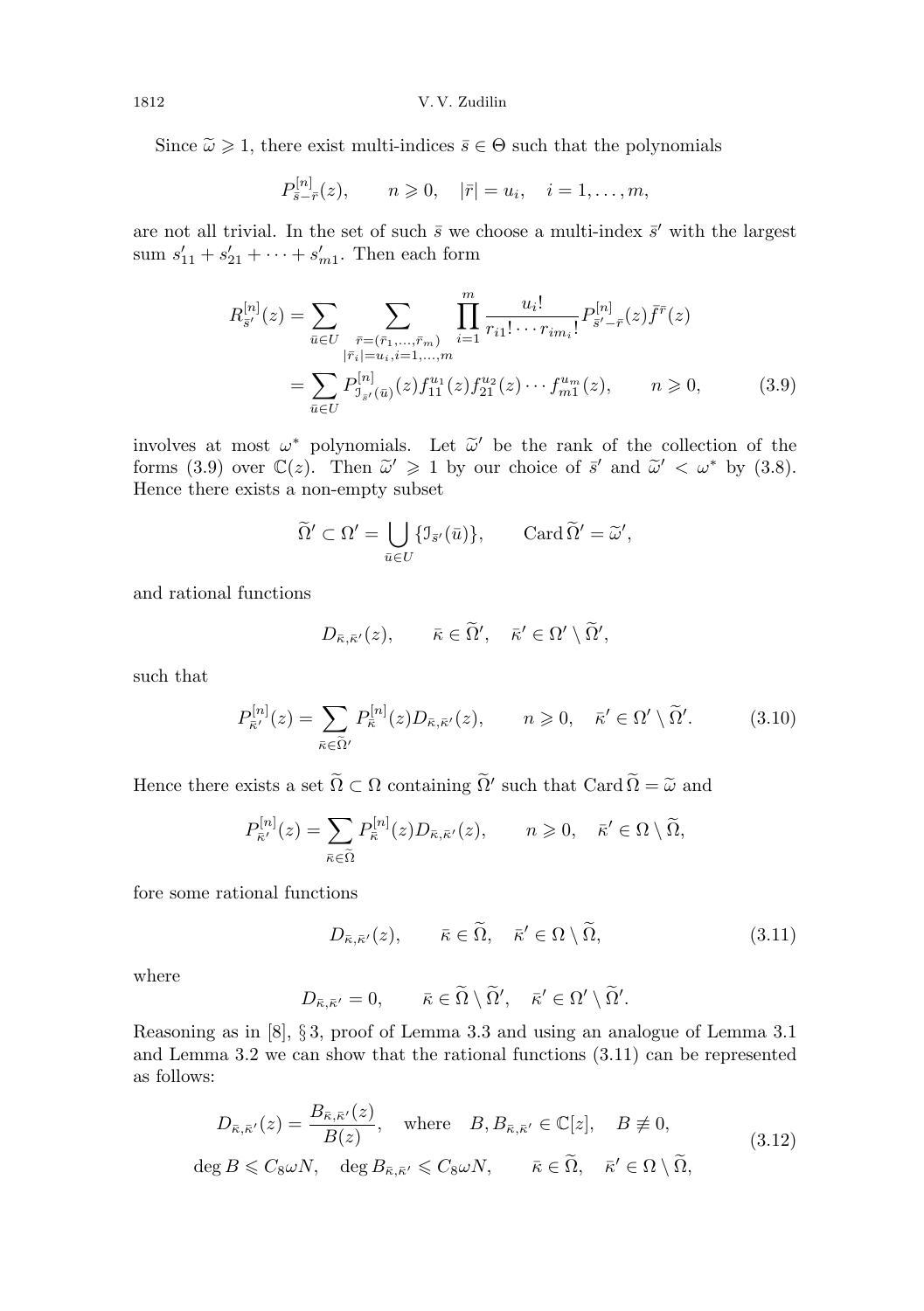Since  $\tilde{\omega} \ge 1$ , there exist multi-indices  $\bar{s} \in \Theta$  such that the polynomials

$$
P_{\bar{s}-\bar{r}}^{[n]}(z), \qquad n \geqslant 0, \quad |\bar{r}| = u_i, \quad i = 1, \ldots, m,
$$

are not all trivial. In the set of such  $\bar{s}$  we choose a multi-index  $\bar{s}'$  with the largest sum  $s'_{11} + s'_{21} + \cdots + s'_{m1}$ . Then each form

$$
R_{\bar{s}'}^{[n]}(z) = \sum_{\bar{u}\in U} \sum_{\substack{\bar{r}=(\bar{r}_1,\ldots,\bar{r}_m) \\ |\bar{r}_i|=u_i, i=1,\ldots,m}} \prod_{i=1}^m \frac{u_i!}{r_{i1}!\cdots r_{im_i}!} P_{\bar{s}'-\bar{r}}^{[n]}(z) \bar{f}^{\bar{r}}(z)
$$

$$
= \sum_{\bar{u}\in U} P_{\bar{\jmath}_{\bar{s}'}(\bar{u})}^{[n]}(z) f_{11}^{u_1}(z) f_{21}^{u_2}(z) \cdots f_{m1}^{u_m}(z), \qquad n \geq 0,
$$
(3.9)

involves at most  $\omega^*$  polynomials. Let  $\tilde{\omega}'$  be the rank of the collection of the forms (3.9) over  $\mathbb{C}(z)$ . Then  $\tilde{\omega}' \geq 1$  by our choice of  $\tilde{\varepsilon}'$  and  $\tilde{\omega}' \leq \omega^*$  by (3.8) forms (3.9) over  $\mathbb{C}(z)$ . Then  $\tilde{\omega}' \ge 1$  by our choice of  $\bar{s}'$  and  $\tilde{\omega}' < \omega^*$  by (3.8).<br>Hence there exists a non-empty subset Hence there exists a non-empty subset

$$
\widetilde{\Omega}' \subset \Omega' = \bigcup_{\bar{u} \in U} \{ \mathfrak{I}_{\bar{s}'}(\bar{u}) \}, \quad \operatorname{Card} \widetilde{\Omega}' = \widetilde{\omega}',
$$

and rational functions

$$
D_{\bar{\kappa}, \bar{\kappa}'}(z), \qquad \bar{\kappa} \in \widetilde{\Omega}', \quad \bar{\kappa}' \in \Omega' \setminus \widetilde{\Omega}',
$$

such that

$$
P_{\bar{\kappa}'}^{[n]}(z) = \sum_{\bar{\kappa} \in \tilde{\Omega}'} P_{\bar{\kappa}}^{[n]}(z) D_{\bar{\kappa}, \bar{\kappa}'}(z), \qquad n \geqslant 0, \quad \bar{\kappa}' \in \Omega' \setminus \tilde{\Omega}'. \tag{3.10}
$$

Hence there exists a set  $\widetilde{\Omega} \subset \Omega$  containing  $\widetilde{\Omega}'$  such that Card  $\widetilde{\Omega} = \widetilde{\omega}$  and

$$
P_{\bar{\kappa}'}^{[n]}(z) = \sum_{\bar{\kappa} \in \tilde{\Omega}} P_{\bar{\kappa}}^{[n]}(z) D_{\bar{\kappa}, \bar{\kappa}'}(z), \qquad n \geqslant 0, \quad \bar{\kappa}' \in \Omega \setminus \tilde{\Omega},
$$

fore some rational functions

$$
D_{\bar{\kappa},\bar{\kappa}'}(z), \qquad \bar{\kappa} \in \tilde{\Omega}, \quad \bar{\kappa}' \in \Omega \setminus \tilde{\Omega}, \tag{3.11}
$$

where

$$
D_{\bar{\kappa},\bar{\kappa}'}=0, \qquad \bar{\kappa}\in\widetilde{\Omega}\setminus\widetilde{\Omega}', \quad \bar{\kappa}'\in\Omega'\setminus\widetilde{\Omega}'.
$$

Reasoning as in [8], § 3, proof of Lemma 3.3 and using an analogue of Lemma 3.1 and Lemma 3.2 we can show that the rational functions (3.11) can be represented as follows:

$$
D_{\bar{\kappa}, \bar{\kappa}'}(z) = \frac{B_{\bar{\kappa}, \bar{\kappa}'}(z)}{B(z)}, \quad \text{where} \quad B, B_{\bar{\kappa}, \bar{\kappa}'} \in \mathbb{C}[z], \quad B \neq 0,
$$
  
deg  $B \leq C_8 \omega N$ , deg  $B_{\bar{\kappa}, \bar{\kappa}'} \leq C_8 \omega N$ ,  $\bar{\kappa} \in \tilde{\Omega}, \quad \bar{\kappa}' \in \Omega \setminus \tilde{\Omega},$  (3.12)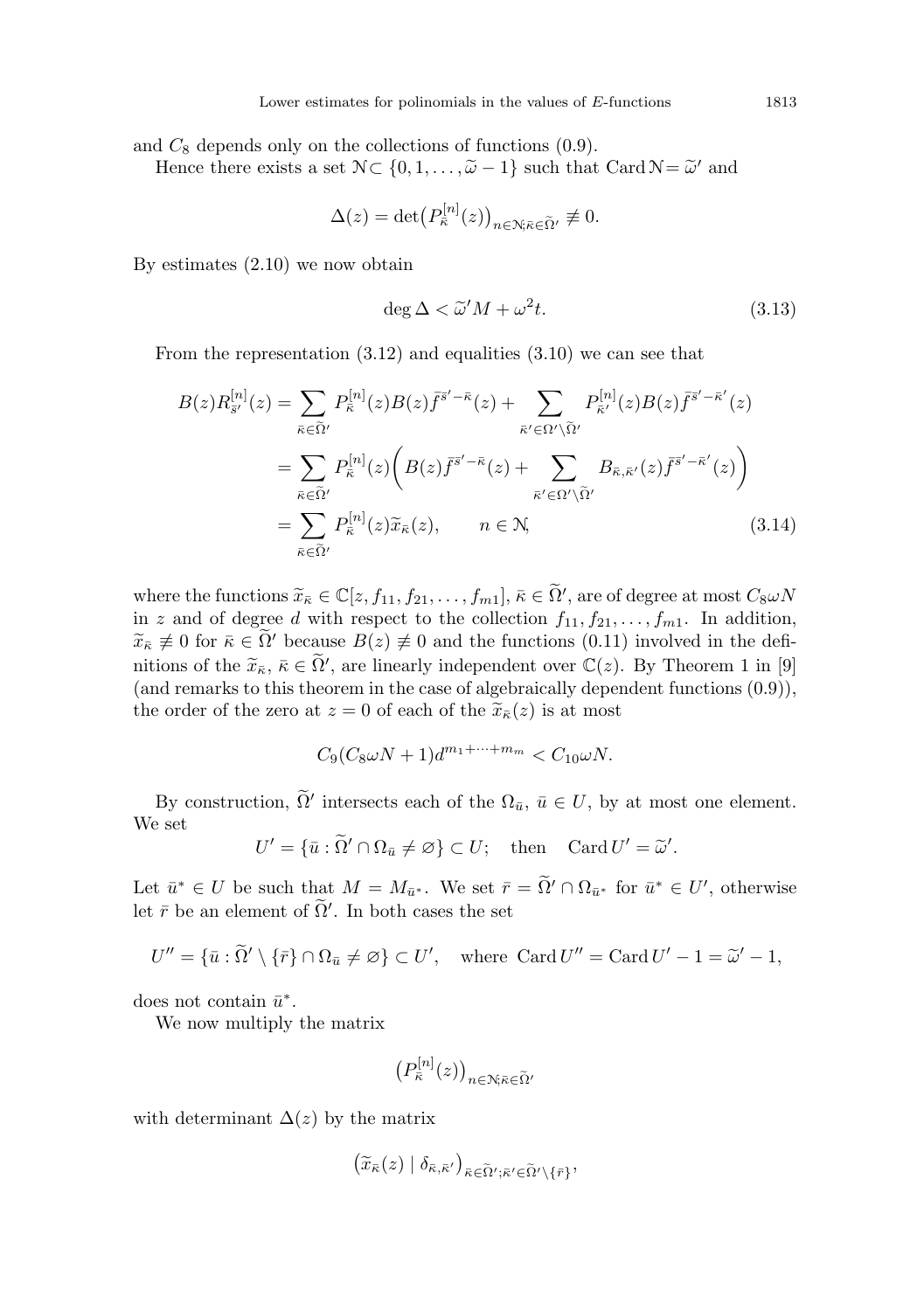and  $C_8$  depends only on the collections of functions  $(0.9)$ .

Hence there exists a set  $\mathcal{N} \subset \{0, 1, \ldots, \tilde{\omega} - 1\}$  such that Card  $\mathcal{N} = \tilde{\omega}'$  and

$$
\Delta(z) = \det \big( P_{\bar{\kappa}}^{[n]}(z) \big)_{n \in \mathbb{N}; \bar{\kappa} \in \tilde{\Omega}'} \not\equiv 0.
$$

By estimates (2.10) we now obtain

$$
\deg \Delta < \widetilde{\omega}'M + \omega^2 t. \tag{3.13}
$$

From the representation (3.12) and equalities (3.10) we can see that

$$
B(z)R_{\bar{s}'}^{[n]}(z) = \sum_{\bar{\kappa}\in\tilde{\Omega}'} P_{\bar{\kappa}}^{[n]}(z)B(z)\bar{f}^{\bar{s}'-\bar{\kappa}}(z) + \sum_{\bar{\kappa}'\in\Omega'\backslash\tilde{\Omega}'} P_{\bar{\kappa}'}^{[n]}(z)B(z)\bar{f}^{\bar{s}'-\bar{\kappa}'}(z)
$$
  

$$
= \sum_{\bar{\kappa}\in\tilde{\Omega}'} P_{\bar{\kappa}}^{[n]}(z) \bigg( B(z)\bar{f}^{\bar{s}'-\bar{\kappa}}(z) + \sum_{\bar{\kappa}'\in\Omega'\backslash\tilde{\Omega}'} B_{\bar{\kappa},\bar{\kappa}'}(z)\bar{f}^{\bar{s}'-\bar{\kappa}'}(z) \bigg)
$$
  

$$
= \sum_{\bar{\kappa}\in\tilde{\Omega}'} P_{\bar{\kappa}}^{[n]}(z)\tilde{x}_{\bar{\kappa}}(z), \qquad n \in \mathbb{N},
$$
(3.14)

where the functions  $\widetilde{x}_{\overline{k}} \in \mathbb{C}[z, f_{11}, f_{21}, \ldots, f_{m1}], \overline{\kappa} \in \widetilde{\Omega}'$ , are of degree at most  $C_8 \omega N$ <br>in z and of degree d with respect to the collection  $f_{\epsilon\epsilon}$  for the poddition in z and of degree d with respect to the collection  $f_{11}, f_{21}, \ldots, f_{m1}$ . In addition,  $\widetilde{x}_{\overline{\kappa}} \neq 0$  for  $\overline{\kappa} \in \widetilde{\Omega}'$  because  $B(z) \neq 0$  and the functions (0.11) involved in the definitions of the  $\widetilde{x}_{\overline{k}}, \overline{\kappa} \in \widetilde{\Omega}'$ , are linearly independent over  $\mathbb{C}(z)$ . By Theorem 1 in [9] (and remarks to this theorem in the case of algebraically dependent functions  $(0, 9)$ ) (and remarks to this theorem in the case of algebraically dependent functions  $(0.9)$ ), the order of the zero at  $z = 0$  of each of the  $\widetilde{x}_{\overline{k}}(z)$  is at most

$$
C_9(C_8\omega N + 1)d^{m_1 + \dots + m_m} < C_{10}\omega N.
$$

By construction,  $\tilde{\Omega}'$  intersects each of the  $\Omega_{\bar{u}}, \bar{u} \in U$ , by at most one element. We set

$$
U' = \{ \bar{u} : \widetilde{\Omega}' \cap \Omega_{\bar{u}} \neq \varnothing \} \subset U; \quad \text{then} \quad \operatorname{Card} U' = \widetilde{\omega}'.
$$

Let  $\bar{u}^* \in U$  be such that  $M = M_{\bar{u}^*}$ . We set  $\bar{r} = \tilde{\Omega}' \cap \Omega_{\bar{u}^*}$  for  $\bar{u}^* \in U'$ , otherwise let  $\bar{r}$  be an element of  $\tilde{\Omega}'$ . In both cases the set

$$
U'' = \{ \bar{u} : \tilde{\Omega}' \setminus \{ \bar{r} \} \cap \Omega_{\bar{u}} \neq \varnothing \} \subset U', \quad \text{where } \operatorname{Card} U'' = \operatorname{Card} U' - 1 = \tilde{\omega}' - 1,
$$

does not contain  $\bar{u}^*$ .

We now multiply the matrix

$$
\left(P_{\bar{\kappa}}^{[n]}(z)\right)_{n\in\mathcal{N};\bar{\kappa}\in\widetilde{\Omega}'}
$$

with determinant  $\Delta(z)$  by the matrix

$$
(\widetilde{x}_{\bar{\kappa}}(z) | \delta_{\bar{\kappa},\bar{\kappa}'} )_{\bar{\kappa} \in \widetilde{\Omega}';\bar{\kappa}' \in \widetilde{\Omega}' \setminus {\lbrace \bar{r} \rbrace}}
$$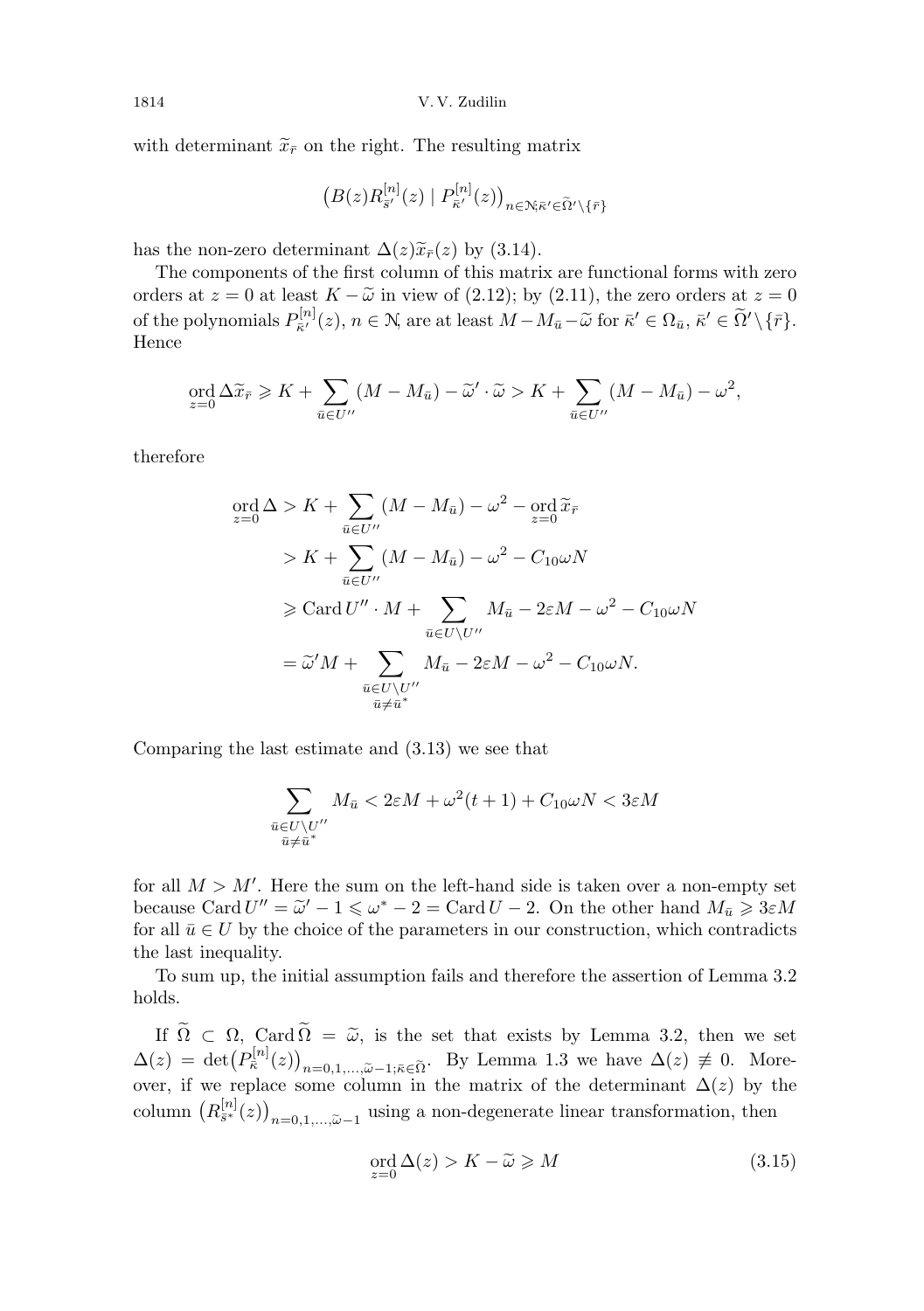with determinant  $\tilde{x}_{\bar{r}}$  on the right. The resulting matrix

$$
\left(B(z)R_{\bar{s}'}^{[n]}(z) \mid P_{\bar{\kappa}'}^{[n]}(z)\right)_{n \in \mathcal{N}; \bar{\kappa}' \in \widetilde{\Omega}' \setminus \{\bar{r}\}}
$$

has the non-zero determinant  $\Delta(z)\tilde{x}_{\bar{r}}(z)$  by (3.14).

The components of the first column of this matrix are functional forms with zero orders at  $z = 0$  at least  $K - \tilde{\omega}$  in view of (2.12); by (2.11), the zero orders at  $z = 0$ of the polynomials  $P_{\bar{\kappa}'}^{[n]}$  $S_{\bar{\kappa}'}^{[n]}(z), n \in \mathbb{N}$ , are at least  $M - M_{\bar{u}} - \widetilde{\omega}$  for  $\bar{\kappa}' \in \Omega_{\bar{u}}, \bar{\kappa}' \in \widetilde{\Omega}' \setminus {\lbrace \bar{r} \rbrace}.$ Hence

$$
\operatorname{ord}_{z=0} \Delta \widetilde{x}_{\bar{r}} \geqslant K + \sum_{\bar{u} \in U''} (M - M_{\bar{u}}) - \widetilde{\omega}' \cdot \widetilde{\omega} > K + \sum_{\bar{u} \in U''} (M - M_{\bar{u}}) - \omega^2,
$$

therefore

$$
\begin{split} \operatorname{ord}_{z=0} \Delta &> K + \sum_{\bar{u} \in U''} (M - M_{\bar{u}}) - \omega^2 - \operatorname{ord}_{z=0} \widetilde{x}_{\bar{r}} \\ &> K + \sum_{\bar{u} \in U''} (M - M_{\bar{u}}) - \omega^2 - C_{10} \omega N \\ &\geqslant \operatorname{Card} U'' \cdot M + \sum_{\bar{u} \in U \setminus U''} M_{\bar{u}} - 2\varepsilon M - \omega^2 - C_{10} \omega N \\ &= \widetilde{\omega}' M + \sum_{\substack{\bar{u} \in U \setminus U'' \\ \bar{u} \neq \bar{u}^*}} M_{\bar{u}} - 2\varepsilon M - \omega^2 - C_{10} \omega N. \end{split}
$$

Comparing the last estimate and (3.13) we see that

$$
\sum_{\substack{\bar{u}\in U\setminus U''\\ \bar{u}\neq \bar{u}^*}} M_{\bar{u}} < 2\varepsilon M + \omega^2(t+1) + C_{10}\omega N < 3\varepsilon M
$$

for all  $M > M'$ . Here the sum on the left-hand side is taken over a non-empty set because Card  $U'' = \tilde{\omega}' - 1 \le \omega^* - 2 = \text{Card } U - 2$ . On the other hand  $M_{\bar{u}} \ge 3\varepsilon M$ <br>for all  $\bar{u} \in U$  by the choice of the parameters in our construction, which contradicts for all  $\bar{u} \in U$  by the choice of the parameters in our construction, which contradicts the last inequality.

To sum up, the initial assumption fails and therefore the assertion of Lemma 3.2 holds.

If  $\tilde{\Omega} \subset \Omega$ , Card  $\tilde{\Omega} = \tilde{\omega}$ , is the set that exists by Lemma 3.2, then we set  $\Delta(z) = \det(P_{\overline{\kappa}}^{[n]}(z))_{n=0,1,\ldots,\widetilde{\omega}-1;\overline{\kappa}\in\widetilde{\Omega}}$ . By Lemma 1.3 we have  $\Delta(z) \neq 0$ . More-<br>over, if we replace some column in the matrix of the determinant  $\Delta(z)$  by the column  $(R_{\bar{s}^*}^{[n]}(z))_{n=0,1,\ldots,\tilde{\omega}-1}$  using a non-degenerate linear transformation, then

$$
\operatorname{ord}_{z=0} \Delta(z) > K - \widetilde{\omega} \ge M \tag{3.15}
$$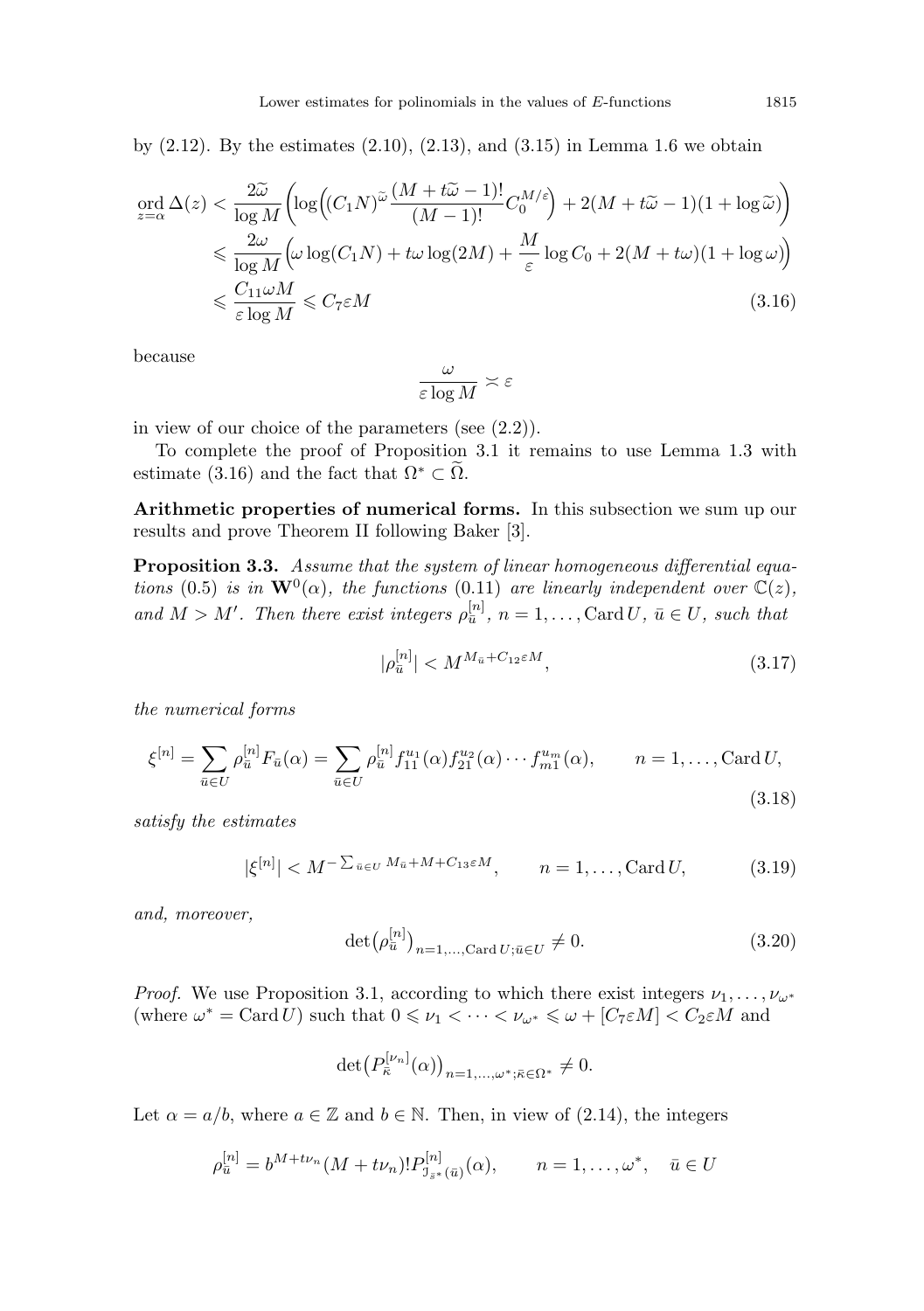by  $(2.12)$ . By the estimates  $(2.10)$ ,  $(2.13)$ , and  $(3.15)$  in Lemma 1.6 we obtain

$$
\begin{split} \operatorname{ord}_{z=\alpha} \Delta(z) &< \frac{2\widetilde{\omega}}{\log M} \biggl( \log \Bigl( (C_1 N)^{\widetilde{\omega}} \frac{(M + t\widetilde{\omega} - 1)!}{(M - 1)!} C_0^{M/\varepsilon} \Bigr) + 2(M + t\widetilde{\omega} - 1)(1 + \log \widetilde{\omega}) \Bigr) \\ &\leqslant \frac{2\omega}{\log M} \Bigl( \omega \log(C_1 N) + t\omega \log(2M) + \frac{M}{\varepsilon} \log C_0 + 2(M + t\omega)(1 + \log \omega) \Bigr) \\ &\leqslant \frac{C_{11}\omega M}{\varepsilon \log M} \leqslant C_7 \varepsilon M \end{split} \tag{3.16}
$$

because

$$
\frac{\omega}{\varepsilon\log M}\asymp\varepsilon
$$

in view of our choice of the parameters (see (2.2)).

To complete the proof of Proposition 3.1 it remains to use Lemma 1.3 with estimate (3.16) and the fact that  $\Omega^* \subset \Omega$ .

Arithmetic properties of numerical forms. In this subsection we sum up our results and prove Theorem II following Baker [3].

Proposition 3.3. Assume that the system of linear homogeneous differential equations (0.5) is in  $\mathbf{W}^{0}(\alpha)$ , the functions (0.11) are linearly independent over  $\mathbb{C}(z)$ , and  $M > M'$ . Then there exist integers  $\rho_{\bar{u}}^{[n]}$ ,  $n = 1, \ldots, \text{Card } U$ ,  $\bar{u} \in U$ , such that

$$
|\rho_{\bar{u}}^{[n]}| < M^{M_{\bar{u}} + C_{12} \varepsilon M},\tag{3.17}
$$

the numerical forms

$$
\xi^{[n]} = \sum_{\bar{u} \in U} \rho_{\bar{u}}^{[n]} F_{\bar{u}}(\alpha) = \sum_{\bar{u} \in U} \rho_{\bar{u}}^{[n]} f_{11}^{u_1}(\alpha) f_{21}^{u_2}(\alpha) \cdots f_{m1}^{u_m}(\alpha), \qquad n = 1, \dots, \text{Card } U,
$$
\n(3.18)

satisfy the estimates

$$
|\xi^{[n]}| < M^{-\sum_{\bar{u}\in U} M_{\bar{u}} + M + C_{13}\varepsilon M}, \qquad n = 1, \dots, \text{Card } U,\tag{3.19}
$$

and, moreover,

$$
\det(\rho_{\bar{u}}^{[n]})_{n=1,\ldots,\text{Card }U;\bar{u}\in U}\neq 0. \tag{3.20}
$$

*Proof.* We use Proposition 3.1, according to which there exist integers  $\nu_1, \ldots, \nu_{\omega^*}$ (where  $\omega^* = \text{Card } U$ ) such that  $0 \le \nu_1 < \cdots < \nu_{\omega^*} \le \omega + [C_7 \varepsilon M] < C_2 \varepsilon M$  and

$$
\det\left(P_{\bar{\kappa}}^{[\nu_n]}(\alpha)\right)_{n=1,\ldots,\omega^*;\bar{\kappa}\in\Omega^*}\neq 0.
$$

Let  $\alpha = a/b$ , where  $a \in \mathbb{Z}$  and  $b \in \mathbb{N}$ . Then, in view of (2.14), the integers

$$
\rho_{\bar{u}}^{[n]} = b^{M + t\nu_n} (M + t\nu_n)! P_{\bar{J}_{s^*}(\bar{u})}^{[n]}(\alpha), \qquad n = 1, \dots, \omega^*, \quad \bar{u} \in U
$$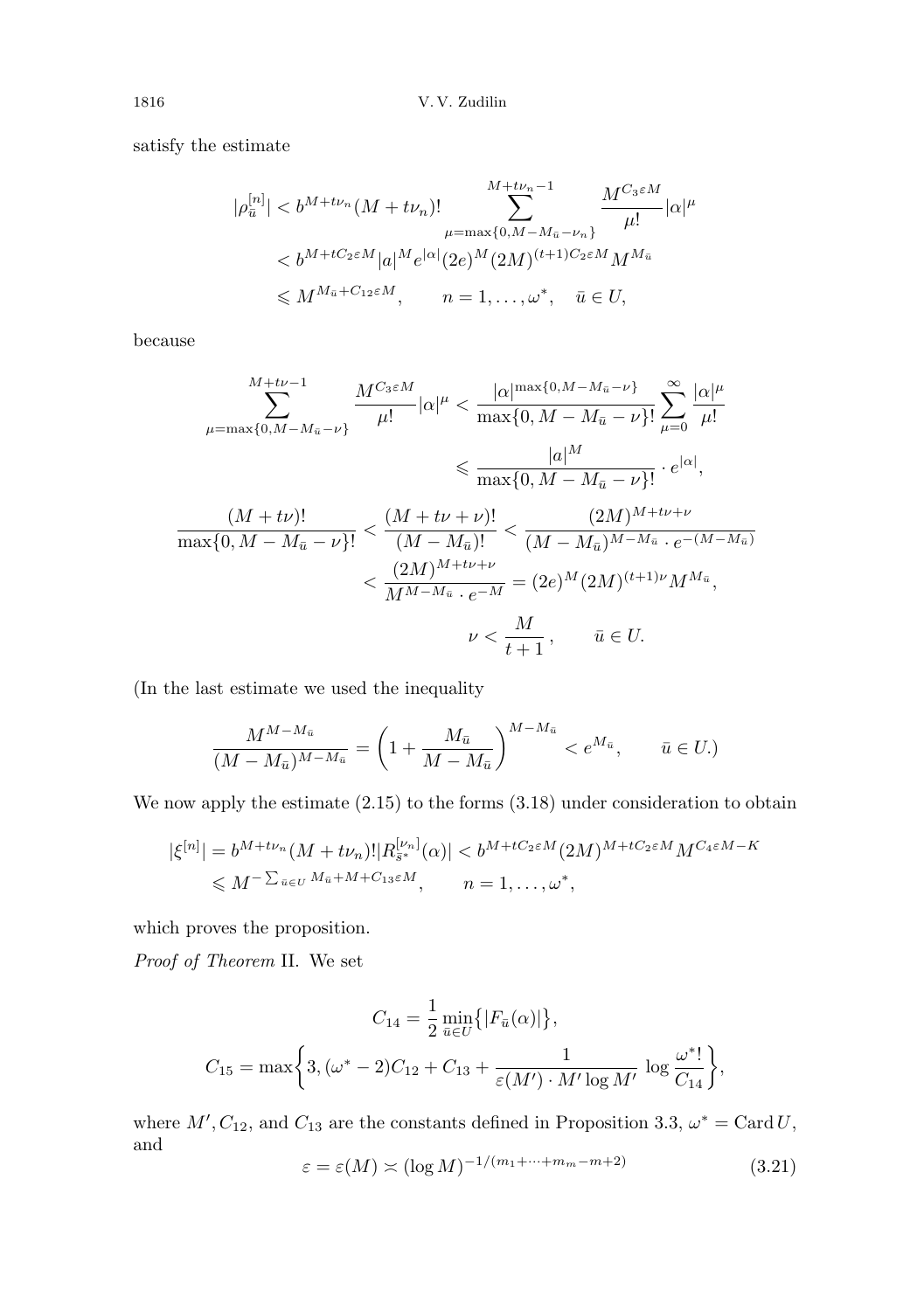satisfy the estimate

$$
|\rho_{\bar{u}}^{[n]}| < b^{M + t\nu_n}(M + t\nu_n)! \sum_{\mu = \max\{0, M - M_{\bar{u}} - \nu_n\}}^{M + t\nu_n - 1} \frac{M^{C_3 \varepsilon M}}{\mu!} |\alpha|^\mu < b^{M + tC_2 \varepsilon M} |a|^M e^{|\alpha|} (2e)^M (2M)^{(t+1)C_2 \varepsilon M} M^{M_{\bar{u}}} \leq M^{M_{\bar{u}} + C_{12} \varepsilon M}, \qquad n = 1, ..., \omega^*, \quad \bar{u} \in U,
$$

because

$$
\sum_{\mu=\max\{0,M-M_{\bar{u}}-\nu\}}^{M+\nu-1} \frac{M^{C_3\varepsilon M}}{\mu!} |\alpha|^\mu < \frac{|\alpha|^{\max\{0,M-M_{\bar{u}}-\nu\}}}{\max\{0,M-M_{\bar{u}}-\nu\}!} \sum_{\mu=0}^{\infty} \frac{|\alpha|^\mu}{\mu!} \leq \frac{|a|^M}{\max\{0,M-M_{\bar{u}}-\nu\}!} \cdot e^{|\alpha|},
$$
\n
$$
\frac{(M+\nu)!}{\max\{0,M-M_{\bar{u}}-\nu\}!} < \frac{(M+\nu+\nu)!}{(M-M_{\bar{u}})!} < \frac{(2M)^{M+\nu+\nu}}{(M-M_{\bar{u}})^{M-M_{\bar{u}}}} \cdot e^{-(M-M_{\bar{u}})}
$$
\n
$$
\leq \frac{(2M)^{M+\nu+\nu}}{M^{M-M_{\bar{u}}}\cdot e^{-M}} = (2e)^M (2M)^{(\nu+1)\nu} M^{M_{\bar{u}}},
$$
\n
$$
\nu < \frac{M}{t+1}, \qquad \bar{u} \in U.
$$

(In the last estimate we used the inequality

$$
\frac{M^{M-M_{\bar{u}}}}{(M-M_{\bar{u}})^{M-M_{\bar{u}}}} = \left(1 + \frac{M_{\bar{u}}}{M-M_{\bar{u}}}\right)^{M-M_{\bar{u}}} < e^{M_{\bar{u}}}, \quad \bar{u} \in U.
$$

We now apply the estimate  $(2.15)$  to the forms  $(3.18)$  under consideration to obtain

$$
\begin{aligned} |\xi^{[n]}| &= b^{M+t\nu_n} (M+t\nu_n)! |R_{\bar{s}^*}^{[\nu_n]}(\alpha)| < b^{M+tC_2\varepsilon M} (2M)^{M+tC_2\varepsilon M} M^{C_4\varepsilon M-K} \\ &\le M^{-\sum_{\bar{u}\in U} M_{\bar{u}}+M+C_{13}\varepsilon M}, \qquad n=1,\ldots,\omega^*, \end{aligned}
$$

which proves the proposition.

Proof of Theorem II. We set

$$
C_{14} = \frac{1}{2} \min_{\bar{u} \in U} \{ |F_{\bar{u}}(\alpha)| \},
$$
  

$$
C_{15} = \max \bigg\{ 3, (\omega^* - 2)C_{12} + C_{13} + \frac{1}{\varepsilon(M') \cdot M' \log M'} \log \frac{\omega^*!}{C_{14}} \bigg\},\
$$

where  $M', C_{12}$ , and  $C_{13}$  are the constants defined in Proposition 3.3,  $\omega^* = \text{Card } U$ , and

$$
\varepsilon = \varepsilon(M) \asymp (\log M)^{-1/(m_1 + \dots + m_m - m + 2)}
$$
\n(3.21)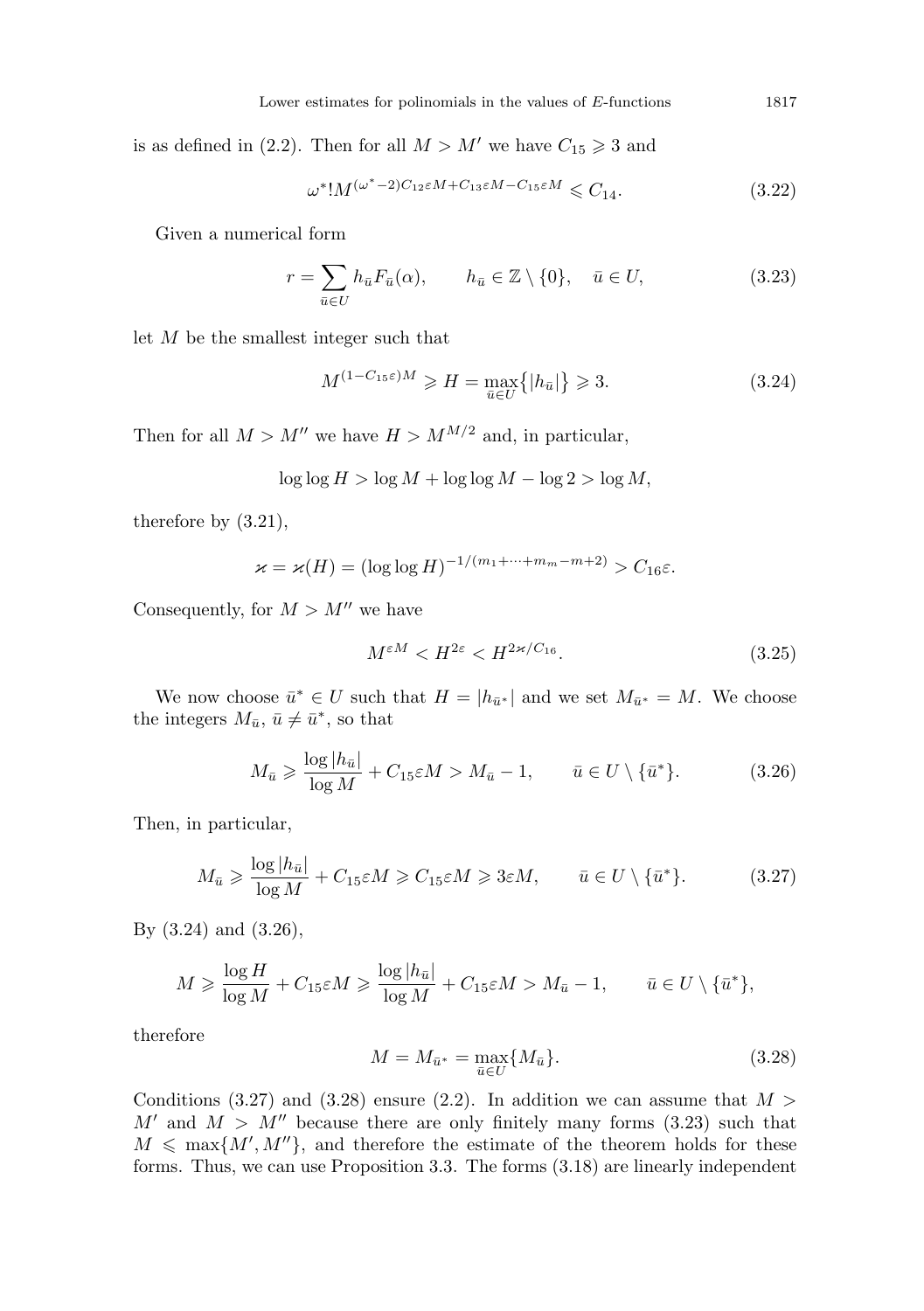is as defined in (2.2). Then for all  $M > M'$  we have  $C_{15} \geq 3$  and

$$
\omega^*! M^{(\omega^*-2)C_{12}\varepsilon M + C_{13}\varepsilon M - C_{15}\varepsilon M} \leqslant C_{14}.
$$
\n(3.22)

Given a numerical form

$$
r = \sum_{\bar{u} \in U} h_{\bar{u}} F_{\bar{u}}(\alpha), \qquad h_{\bar{u}} \in \mathbb{Z} \setminus \{0\}, \quad \bar{u} \in U,
$$
\n(3.23)

let M be the smallest integer such that

$$
M^{(1-C_{15}\varepsilon)M} \ge H = \max_{\bar{u}\in U} \{|h_{\bar{u}}|\} \ge 3. \tag{3.24}
$$

Then for all  $M > M''$  we have  $H > M^{M/2}$  and, in particular,

$$
\log \log H > \log M + \log \log M - \log 2 > \log M,
$$

therefore by (3.21),

$$
\varkappa = \varkappa(H) = (\log \log H)^{-1/(m_1 + \dots + m_m - m + 2)} > C_{16}\varepsilon.
$$

Consequently, for  $M > M''$  we have

$$
M^{\varepsilon M} < H^{2\varepsilon} < H^{2\varkappa/C_{16}}.\tag{3.25}
$$

We now choose  $\bar{u}^* \in U$  such that  $H = |h_{\bar{u}^*}|$  and we set  $M_{\bar{u}^*} = M$ . We choose the integers  $M_{\bar{u}}, \bar{u} \neq \bar{u}^*$ , so that

$$
M_{\bar{u}} \geqslant \frac{\log|h_{\bar{u}}|}{\log M} + C_{15}\varepsilon M > M_{\bar{u}} - 1, \qquad \bar{u} \in U \setminus \{\bar{u}^*\}. \tag{3.26}
$$

Then, in particular,

$$
M_{\bar{u}} \geqslant \frac{\log|h_{\bar{u}}|}{\log M} + C_{15}\varepsilon M \geqslant C_{15}\varepsilon M \geqslant 3\varepsilon M, \qquad \bar{u} \in U \setminus \{\bar{u}^*\}. \tag{3.27}
$$

By (3.24) and (3.26),

$$
M \geqslant \frac{\log H}{\log M} + C_{15} \varepsilon M \geqslant \frac{\log |h_{\bar{u}}|}{\log M} + C_{15} \varepsilon M > M_{\bar{u}} - 1, \qquad \bar{u} \in U \setminus \{\bar{u}^*\},
$$

therefore

$$
M = M_{\bar{u}^*} = \max_{\bar{u} \in U} \{ M_{\bar{u}} \}.
$$
\n(3.28)

Conditions (3.27) and (3.28) ensure (2.2). In addition we can assume that  $M >$  $M'$  and  $M > M''$  because there are only finitely many forms (3.23) such that  $M \leq \max\{M', M''\},$  and therefore the estimate of the theorem holds for these forms. Thus, we can use Proposition 3.3. The forms (3.18) are linearly independent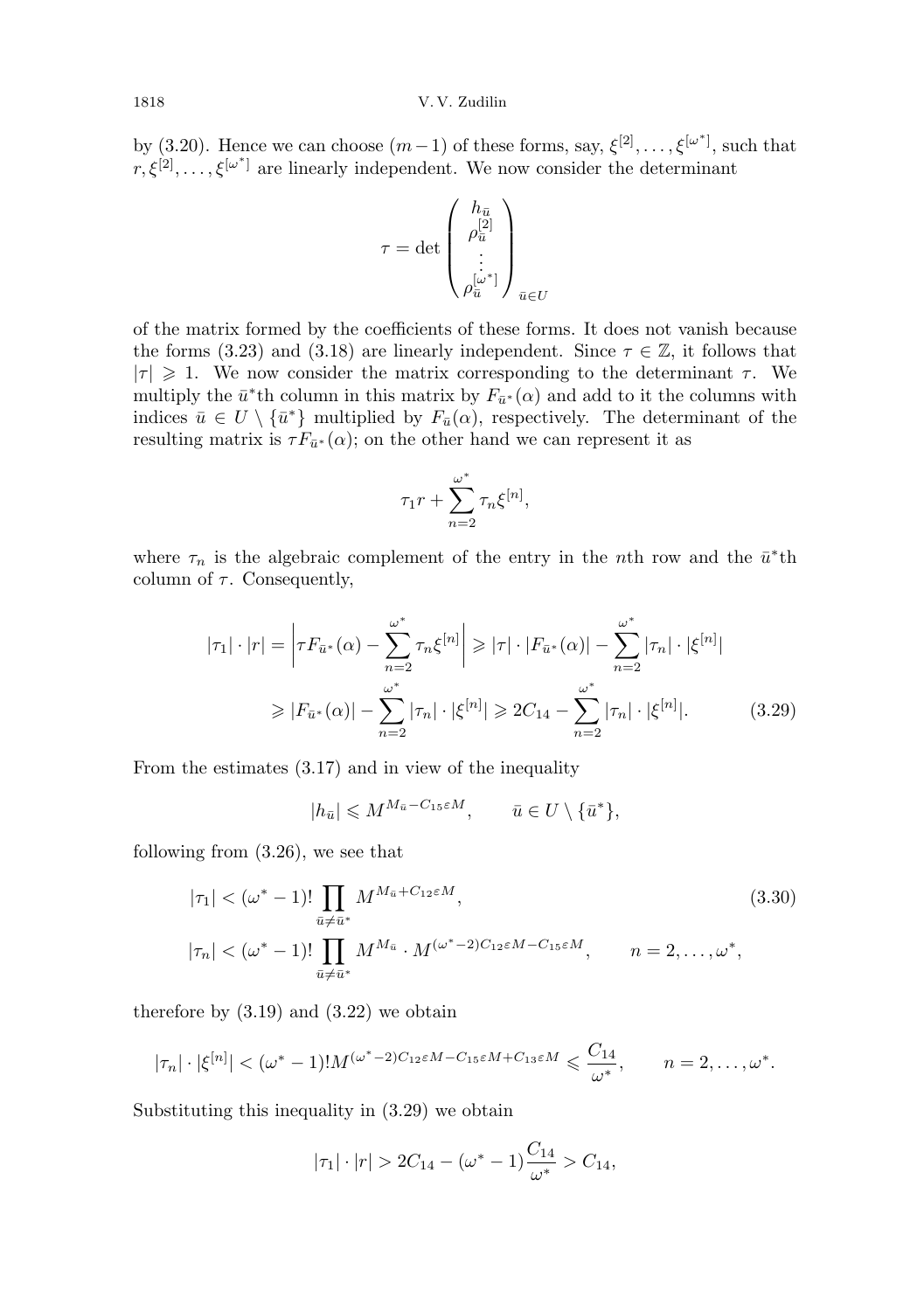by (3.20). Hence we can choose  $(m-1)$  of these forms, say,  $\xi^{[2]}, \ldots, \xi^{[\omega^*]}$ , such that  $r, \xi^{[2]}, \ldots, \xi^{[\omega^*]}$  are linearly independent. We now consider the determinant

$$
\tau = \det \begin{pmatrix} h_{\bar{u}} \\ \rho_{\bar{u}}^{[2]} \\ \vdots \\ \rho_{\bar{u}}^{[\omega^*]} \end{pmatrix}_{\bar{u} \in U}
$$

of the matrix formed by the coefficients of these forms. It does not vanish because the forms (3.23) and (3.18) are linearly independent. Since  $\tau \in \mathbb{Z}$ , it follows that  $|\tau| \geq 1$ . We now consider the matrix corresponding to the determinant  $\tau$ . We multiply the  $\bar{u}^*$ th column in this matrix by  $F_{\bar{u}^*}(\alpha)$  and add to it the columns with indices  $\bar{u} \in U \setminus {\bar{u}^*}$  multiplied by  $F_{\bar{u}}(\alpha)$ , respectively. The determinant of the resulting matrix is  $\tau F_{\bar{u}^*}(\alpha)$ ; on the other hand we can represent it as

$$
\tau_1 r + \sum_{n=2}^{\omega^*} \tau_n \xi^{[n]},
$$

where  $\tau_n$  is the algebraic complement of the entry in the *n*<sup>th</sup> row and the  $\bar{u}^*$ <sup>th</sup> column of  $\tau$ . Consequently,

$$
|\tau_1| \cdot |r| = \left| \tau F_{\bar{u}^*}(\alpha) - \sum_{n=2}^{\omega^*} \tau_n \xi^{[n]} \right| \ge |\tau| \cdot |F_{\bar{u}^*}(\alpha)| - \sum_{n=2}^{\omega^*} |\tau_n| \cdot |\xi^{[n]}|
$$
  

$$
\ge |F_{\bar{u}^*}(\alpha)| - \sum_{n=2}^{\omega^*} |\tau_n| \cdot |\xi^{[n]}| \ge 2C_{14} - \sum_{n=2}^{\omega^*} |\tau_n| \cdot |\xi^{[n]}|.
$$
 (3.29)

From the estimates (3.17) and in view of the inequality

$$
|h_{\bar{u}}| \leqslant M^{M_{\bar{u}}-C_{15}\varepsilon M}, \qquad \bar{u} \in U \setminus \{\bar{u}^*\},
$$

following from (3.26), we see that

$$
|\tau_1| < (\omega^* - 1)! \prod_{\bar{u} \neq \bar{u}^*} M^{M_{\bar{u}} + C_{12} \epsilon M},
$$
  
\n
$$
|\tau_n| < (\omega^* - 1)! \prod_{\bar{u} \neq \bar{u}^*} M^{M_{\bar{u}}} \cdot M^{(\omega^* - 2)C_{12} \epsilon M - C_{15} \epsilon M},
$$
  
\n
$$
n = 2, ..., \omega^*,
$$
\n(3.30)

therefore by  $(3.19)$  and  $(3.22)$  we obtain

$$
|\tau_n|\cdot |\xi^{[n]}| < (\omega^*-1)!M^{(\omega^*-2)C_{12}\varepsilon M - C_{15}\varepsilon M + C_{13}\varepsilon M} \leqslant \frac{C_{14}}{\omega^*}, \qquad n=2,\ldots,\omega^*.
$$

Substituting this inequality in (3.29) we obtain

$$
|\tau_1| \cdot |r| > 2C_{14} - (\omega^* - 1) \frac{C_{14}}{\omega^*} > C_{14},
$$